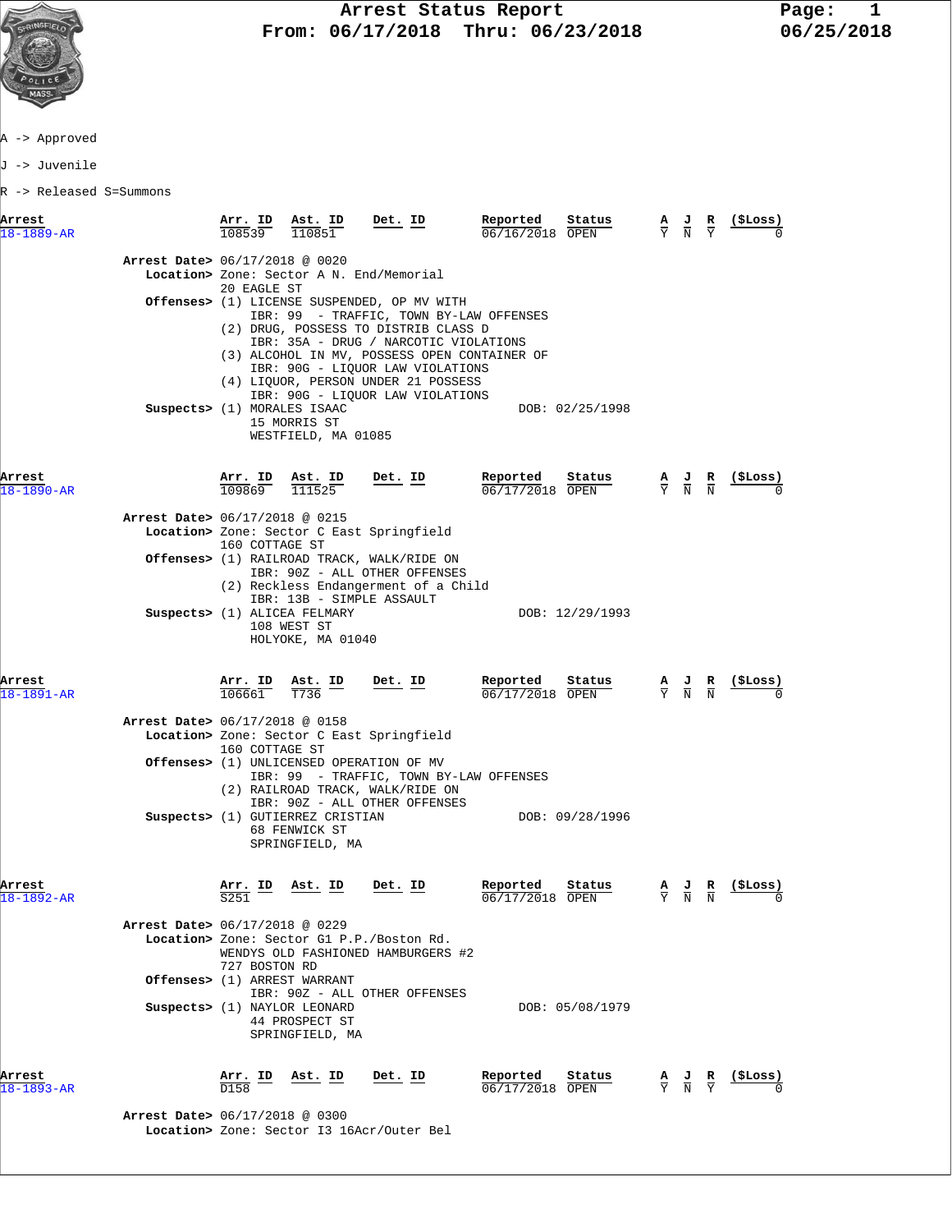

A -> Approved

J -> Juvenile

R -> Released S=Summons

| Arrest<br>$18 - 1889 - AR$     | Arr. ID<br>108539        | Ast. ID<br>110851                                                                                 | Det. ID                                                                                                                                                                                                                                                                                                                                | Reported<br>Status<br>06/16/2018 OPEN   | А                             | R<br>ਾਹ<br>$\overline{\rm N}$ | (SLoss) |
|--------------------------------|--------------------------|---------------------------------------------------------------------------------------------------|----------------------------------------------------------------------------------------------------------------------------------------------------------------------------------------------------------------------------------------------------------------------------------------------------------------------------------------|-----------------------------------------|-------------------------------|-------------------------------|---------|
| Arrest Date> 06/17/2018 @ 0020 | 20 EAGLE ST              |                                                                                                   | Location> Zone: Sector A N. End/Memorial                                                                                                                                                                                                                                                                                               |                                         |                               |                               |         |
|                                |                          |                                                                                                   | Offenses> (1) LICENSE SUSPENDED, OP MV WITH<br>IBR: 99 - TRAFFIC, TOWN BY-LAW OFFENSES<br>(2) DRUG, POSSESS TO DISTRIB CLASS D<br>IBR: 35A - DRUG / NARCOTIC VIOLATIONS<br>(3) ALCOHOL IN MV, POSSESS OPEN CONTAINER OF<br>IBR: 90G - LIQUOR LAW VIOLATIONS<br>(4) LIQUOR, PERSON UNDER 21 POSSESS<br>IBR: 90G - LIQUOR LAW VIOLATIONS |                                         |                               |                               |         |
|                                |                          | Suspects> (1) MORALES ISAAC<br>15 MORRIS ST<br>WESTFIELD, MA 01085                                |                                                                                                                                                                                                                                                                                                                                        | DOB: 02/25/1998                         |                               |                               |         |
| Arrest<br>$18 - 1890 - AR$     | <u>Arr. ID</u><br>109869 | $\frac{\text{Ast.}}{111525}$                                                                      | <u>Det. ID</u>                                                                                                                                                                                                                                                                                                                         | Reported<br>Status<br>06/17/2018 OPEN   | $\frac{A}{Y}$ $\frac{J}{N}$   | $\frac{R}{N}$                 |         |
| Arrest Date> 06/17/2018 @ 0215 |                          |                                                                                                   | Location> Zone: Sector C East Springfield                                                                                                                                                                                                                                                                                              |                                         |                               |                               |         |
|                                | 160 COTTAGE ST           |                                                                                                   | Offenses> (1) RAILROAD TRACK, WALK/RIDE ON<br>IBR: 90Z - ALL OTHER OFFENSES<br>(2) Reckless Endangerment of a Child                                                                                                                                                                                                                    |                                         |                               |                               |         |
|                                |                          | IBR: 13B - SIMPLE ASSAULT<br>Suspects> (1) ALICEA FELMARY<br>108 WEST ST<br>HOLYOKE, MA 01040     |                                                                                                                                                                                                                                                                                                                                        | DOB: 12/29/1993                         |                               |                               |         |
| Arrest<br>$18 - 1891 - AR$     | Arr. ID<br>106661        | Ast. ID<br>T736                                                                                   | Det. ID                                                                                                                                                                                                                                                                                                                                | Reported<br>Status<br>06/17/2018 OPEN   | $\frac{A}{Y}$ $\frac{J}{N}$   | $\frac{R}{N}$                 | (ŞLoss) |
| Arrest Date> 06/17/2018 @ 0158 | 160 COTTAGE ST           |                                                                                                   | Location> Zone: Sector C East Springfield                                                                                                                                                                                                                                                                                              |                                         |                               |                               |         |
|                                |                          |                                                                                                   | <b>Offenses&gt;</b> (1) UNLICENSED OPERATION OF MV<br>IBR: 99 - TRAFFIC, TOWN BY-LAW OFFENSES<br>(2) RAILROAD TRACK, WALK/RIDE ON<br>IBR: 90Z - ALL OTHER OFFENSES                                                                                                                                                                     |                                         |                               |                               |         |
|                                |                          | Suspects> (1) GUTIERREZ CRISTIAN<br>68 FENWICK ST<br>SPRINGFIELD, MA                              |                                                                                                                                                                                                                                                                                                                                        | DOB: 09/28/1996                         |                               |                               |         |
| Arrest<br>18-1892-AR           | ID<br>S251               | Ast. ID                                                                                           | Det. ID                                                                                                                                                                                                                                                                                                                                | Reported<br>Status<br>$06/17/2018$ OPEN | $rac{\mathbf{A}}{\mathbf{Y}}$ | $\frac{J}{N}$                 | (ŞLoss) |
| Arrest Date> 06/17/2018 @ 0229 | 727 BOSTON RD            |                                                                                                   | Location> Zone: Sector G1 P.P./Boston Rd.<br>WENDYS OLD FASHIONED HAMBURGERS #2                                                                                                                                                                                                                                                        |                                         |                               |                               |         |
|                                |                          | Offenses> (1) ARREST WARRANT<br>Suspects> (1) NAYLOR LEONARD<br>44 PROSPECT ST<br>SPRINGFIELD, MA | IBR: 90Z - ALL OTHER OFFENSES                                                                                                                                                                                                                                                                                                          | DOB: 05/08/1979                         |                               |                               |         |
|                                |                          |                                                                                                   |                                                                                                                                                                                                                                                                                                                                        |                                         |                               |                               |         |

 **Arrest Date>** 06/17/2018 @ 0300  **Location>** Zone: Sector I3 16Acr/Outer Bel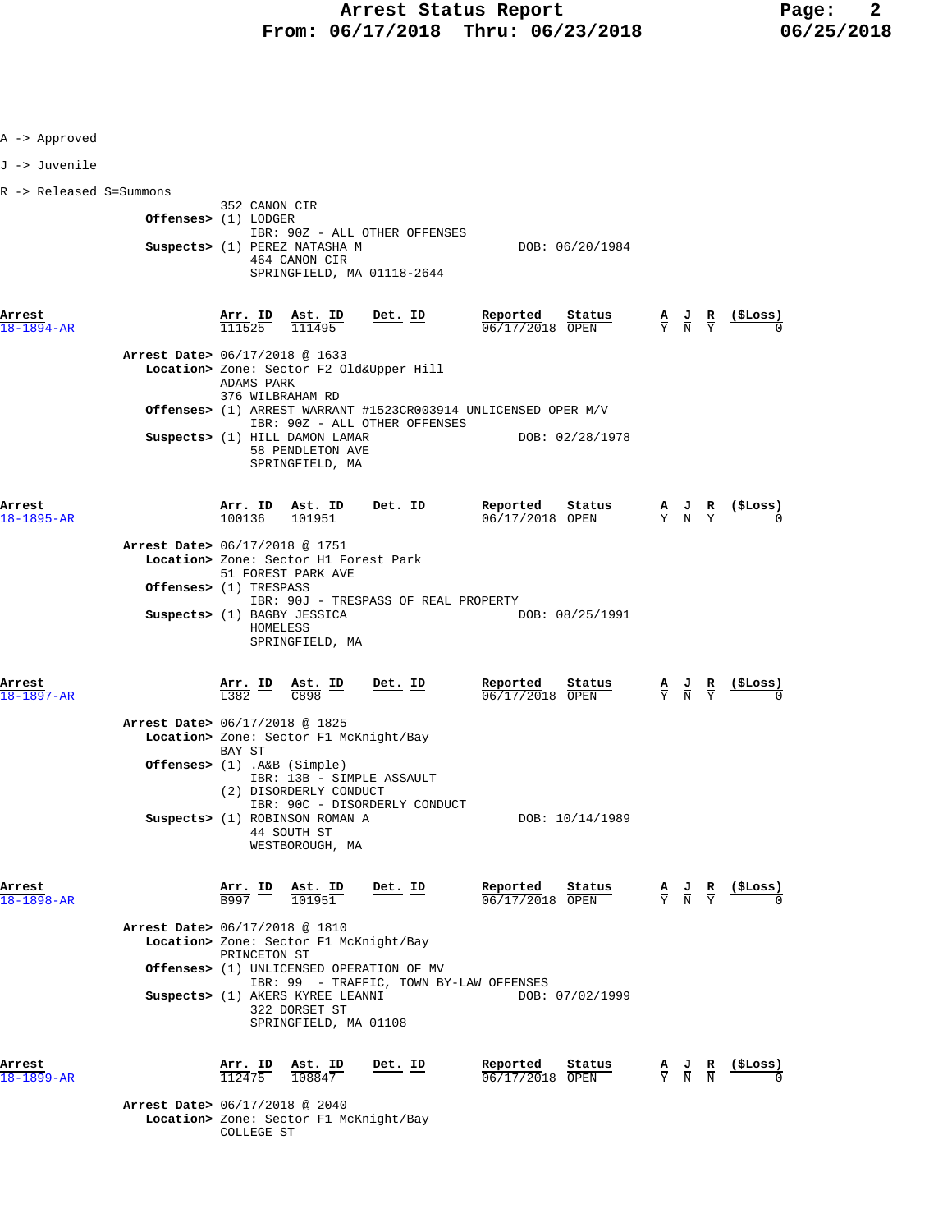| A -> Approved              |                                                                                                                       |                                                |                                                                                                 |                              |
|----------------------------|-----------------------------------------------------------------------------------------------------------------------|------------------------------------------------|-------------------------------------------------------------------------------------------------|------------------------------|
| J -> Juvenile              |                                                                                                                       |                                                |                                                                                                 |                              |
| R -> Released S=Summons    |                                                                                                                       |                                                |                                                                                                 |                              |
|                            | 352 CANON CIR<br>Offenses> (1) LODGER<br>IBR: 90Z - ALL OTHER OFFENSES                                                |                                                |                                                                                                 |                              |
|                            | Suspects> (1) PEREZ NATASHA M<br>464 CANON CIR<br>SPRINGFIELD, MA 01118-2644                                          | DOB: 06/20/1984                                |                                                                                                 |                              |
| Arrest<br>$18 - 1894 - AR$ | Arr. ID Ast. ID<br>$Det. ID$<br>111525<br>111495                                                                      | Reported<br>Status<br>$06/17/2018$ OPEN        | $\frac{A}{Y}$ $\frac{J}{N}$ $\frac{R}{Y}$                                                       | $\frac{(\texttt{SLoss})}{0}$ |
|                            | Arrest Date> 06/17/2018 @ 1633<br>Location> Zone: Sector F2 Old&Upper Hill<br>ADAMS PARK<br>376 WILBRAHAM RD          |                                                |                                                                                                 |                              |
|                            | <b>Offenses&gt;</b> (1) ARREST WARRANT #1523CR003914 UNLICENSED OPER M/V                                              |                                                |                                                                                                 |                              |
|                            | IBR: 90Z - ALL OTHER OFFENSES<br>Suspects> (1) HILL DAMON LAMAR<br>58 PENDLETON AVE<br>SPRINGFIELD, MA                | DOB: 02/28/1978                                |                                                                                                 |                              |
| Arrest<br>$18 - 1895 - AR$ | $\frac{\text{Arr. ID}}{100136}$ $\frac{\text{Ast. ID}}{101951}$<br>$Det$ . ID                                         | Reported<br>Status<br>06/17/2018 OPEN          | $\frac{\mathbf{A}}{\mathbf{Y}}$ $\frac{\mathbf{J}}{\mathbf{N}}$ $\frac{\mathbf{R}}{\mathbf{Y}}$ | <u>(\$Loss)</u>              |
|                            | Arrest Date> 06/17/2018 @ 1751<br>Location> Zone: Sector H1 Forest Park<br>51 FOREST PARK AVE                         |                                                |                                                                                                 |                              |
|                            | <b>Offenses&gt;</b> (1) TRESPASS<br>IBR: 90J - TRESPASS OF REAL PROPERTY                                              |                                                |                                                                                                 |                              |
|                            | Suspects> (1) BAGBY JESSICA<br>HOMELESS<br>SPRINGFIELD, MA                                                            | DOB: 08/25/1991                                |                                                                                                 |                              |
| Arrest<br>18-1897-AR       | $\frac{\text{Arr.}}{\text{L}382}$ $\frac{\text{ID}}{\text{C}898}$ $\frac{\text{I}}{\text{D}}$<br><u>Det. ID</u>       | <u>Reported</u><br>Status<br>$06/17/2018$ OPEN | $\frac{A}{Y}$ $\frac{J}{N}$ $\frac{R}{Y}$ $\frac{($Loss)}{0}$                                   |                              |
|                            | Arrest Date> 06/17/2018 @ 1825<br>Location> Zone: Sector F1 McKnight/Bay<br>BAY ST                                    |                                                |                                                                                                 |                              |
|                            | Offenses> $(1)$ . A&B $(Simple)$<br>IBR: 13B - SIMPLE ASSAULT<br>(2) DISORDERLY CONDUCT                               |                                                |                                                                                                 |                              |
|                            | IBR: 90C - DISORDERLY CONDUCT<br>Suspects> (1) ROBINSON ROMAN A<br>44 SOUTH ST<br>WESTBOROUGH, MA                     | DOB: 10/14/1989                                |                                                                                                 |                              |
| Arrest<br>18-1898-AR       | Ast. ID<br>Det. ID<br>$\frac{\texttt{Arr.}}{\texttt{B997}}$ $\frac{\texttt{ID}}{\texttt{D}}$<br>101951                | Reported<br>Status<br>06/17/2018 OPEN          | $\frac{A}{Y}$ $\frac{J}{N}$ $\frac{R}{Y}$                                                       | (\$Loss)                     |
|                            | Arrest Date> 06/17/2018 @ 1810<br>Location> Zone: Sector F1 McKnight/Bay<br>PRINCETON ST                              |                                                |                                                                                                 |                              |
|                            | Offenses> (1) UNLICENSED OPERATION OF MV                                                                              |                                                |                                                                                                 |                              |
|                            | IBR: 99 - TRAFFIC, TOWN BY-LAW OFFENSES<br>Suspects> (1) AKERS KYREE LEANNI<br>322 DORSET ST<br>SPRINGFIELD, MA 01108 | DOB: 07/02/1999                                |                                                                                                 |                              |
| Arrest<br>18-1899-AR       | $\frac{\texttt{Arr.}}{112475}$<br>Ast. ID<br>Det. ID<br>108847                                                        | Reported<br>Status<br>06/17/2018 OPEN          | $\frac{\mathbf{A}}{\mathbf{Y}}$ $\frac{\mathbf{J}}{\mathbf{N}}$ $\frac{\mathbf{R}}{\mathbf{N}}$ | (ŞLoss)                      |
|                            | Arrest Date> 06/17/2018 @ 2040<br>Location> Zone: Sector F1 McKnight/Bay                                              |                                                |                                                                                                 |                              |

COLLEGE ST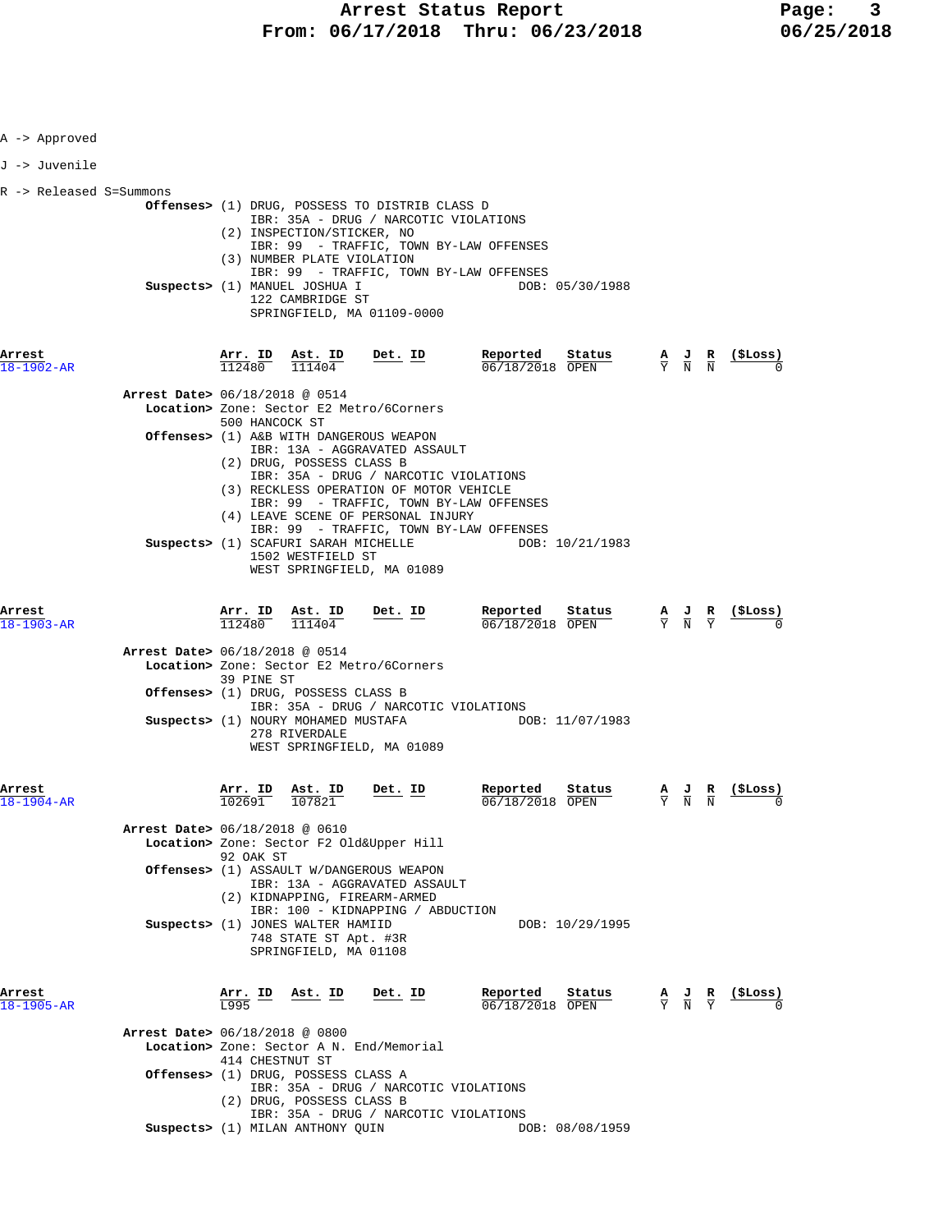| A -> Approved              |                                                                                                                                                                                                                                                                                                                              |           |                                       |                                                                 |                                                                                                 |                |
|----------------------------|------------------------------------------------------------------------------------------------------------------------------------------------------------------------------------------------------------------------------------------------------------------------------------------------------------------------------|-----------|---------------------------------------|-----------------------------------------------------------------|-------------------------------------------------------------------------------------------------|----------------|
| J -> Juvenile              |                                                                                                                                                                                                                                                                                                                              |           |                                       |                                                                 |                                                                                                 |                |
| R -> Released S=Summons    | Offenses> (1) DRUG, POSSESS TO DISTRIB CLASS D<br>IBR: 35A - DRUG / NARCOTIC VIOLATIONS<br>(2) INSPECTION/STICKER, NO<br>IBR: 99 - TRAFFIC, TOWN BY-LAW OFFENSES<br>(3) NUMBER PLATE VIOLATION<br>IBR: 99 - TRAFFIC, TOWN BY-LAW OFFENSES<br>Suspects> (1) MANUEL JOSHUA I<br>122 CAMBRIDGE ST<br>SPRINGFIELD, MA 01109-0000 |           | DOB: 05/30/1988                       |                                                                 |                                                                                                 |                |
| Arrest<br>18-1902-AR       | Arr. ID Ast. ID<br>$112480$ $111404$                                                                                                                                                                                                                                                                                         | $Det. ID$ | Reported<br>Status<br>06/18/2018 OPEN |                                                                 | $\frac{\mathbf{A}}{\mathbf{Y}}$ $\frac{\mathbf{J}}{\mathbf{N}}$ $\frac{\mathbf{R}}{\mathbf{N}}$ | (ŞLoss)        |
|                            | Arrest Date> 06/18/2018 @ 0514<br>Location> Zone: Sector E2 Metro/6Corners<br>500 HANCOCK ST                                                                                                                                                                                                                                 |           |                                       |                                                                 |                                                                                                 |                |
|                            | Offenses> (1) A&B WITH DANGEROUS WEAPON<br>IBR: 13A - AGGRAVATED ASSAULT<br>(2) DRUG, POSSESS CLASS B<br>IBR: 35A - DRUG / NARCOTIC VIOLATIONS<br>(3) RECKLESS OPERATION OF MOTOR VEHICLE<br>IBR: 99 - TRAFFIC, TOWN BY-LAW OFFENSES<br>(4) LEAVE SCENE OF PERSONAL INJURY                                                   |           |                                       |                                                                 |                                                                                                 |                |
|                            | IBR: 99 - TRAFFIC, TOWN BY-LAW OFFENSES<br>Suspects> (1) SCAFURI SARAH MICHELLE<br>1502 WESTFIELD ST<br>WEST SPRINGFIELD, MA 01089                                                                                                                                                                                           |           | DOB: 10/21/1983                       |                                                                 |                                                                                                 |                |
| Arrest<br>$18 - 1903 - AR$ | Arr. ID Ast. ID<br>112480<br>111404                                                                                                                                                                                                                                                                                          | Det. ID   | Reported<br>Status<br>06/18/2018 OPEN | $\frac{\mathbf{A}}{\mathbf{Y}}$ $\frac{\mathbf{J}}{\mathbf{N}}$ | $rac{\mathbf{R}}{\nabla}$                                                                       | <u>(ŞLoss)</u> |
|                            | Arrest Date> 06/18/2018 @ 0514<br>Location> Zone: Sector E2 Metro/6Corners<br>39 PINE ST                                                                                                                                                                                                                                     |           |                                       |                                                                 |                                                                                                 |                |
|                            | Offenses> (1) DRUG, POSSESS CLASS B<br>IBR: 35A - DRUG / NARCOTIC VIOLATIONS<br>Suspects> (1) NOURY MOHAMED MUSTAFA<br>278 RIVERDALE<br>WEST SPRINGFIELD, MA 01089                                                                                                                                                           |           | DOB: 11/07/1983                       |                                                                 |                                                                                                 |                |
| Arrest                     | Arr. ID<br>ASt. ID<br>102691<br>107821                                                                                                                                                                                                                                                                                       | Det. ID   | Reported<br>Status<br>06/18/2018 OPEN | $\frac{\mathbf{A}}{\mathrm{Y}}$ $\frac{\mathbf{J}}{\mathrm{N}}$ | $\frac{\mathbf{R}}{\mathbf{N}}$                                                                 | (ŞLoss)        |
|                            | Arrest Date> 06/18/2018 @ 0610<br>Location> Zone: Sector F2 Old&Upper Hill<br>92 OAK ST                                                                                                                                                                                                                                      |           |                                       |                                                                 |                                                                                                 |                |
|                            | Offenses> (1) ASSAULT W/DANGEROUS WEAPON<br>IBR: 13A - AGGRAVATED ASSAULT<br>(2) KIDNAPPING, FIREARM-ARMED                                                                                                                                                                                                                   |           |                                       |                                                                 |                                                                                                 |                |
|                            | IBR: 100 - KIDNAPPING / ABDUCTION<br>Suspects> (1) JONES WALTER HAMIID<br>748 STATE ST Apt. #3R<br>SPRINGFIELD, MA 01108                                                                                                                                                                                                     |           | DOB: 10/29/1995                       |                                                                 |                                                                                                 |                |
| Arrest<br>18-1905-AR       | Arr. ID<br>Ast. ID<br>T.995                                                                                                                                                                                                                                                                                                  | Det. ID   | Reported<br>Status<br>06/18/2018 OPEN | $\frac{A}{Y}$ $\frac{J}{N}$ $\frac{R}{Y}$                       |                                                                                                 | (\$Loss)       |
|                            | Arrest Date> 06/18/2018 @ 0800<br>Location> Zone: Sector A N. End/Memorial<br>414 CHESTNUT ST                                                                                                                                                                                                                                |           |                                       |                                                                 |                                                                                                 |                |
|                            | Offenses> (1) DRUG, POSSESS CLASS A<br>IBR: 35A - DRUG / NARCOTIC VIOLATIONS<br>(2) DRUG, POSSESS CLASS B<br>IBR: 35A - DRUG / NARCOTIC VIOLATIONS                                                                                                                                                                           |           |                                       |                                                                 |                                                                                                 |                |
|                            | Suspects> (1) MILAN ANTHONY QUIN                                                                                                                                                                                                                                                                                             |           | DOB: 08/08/1959                       |                                                                 |                                                                                                 |                |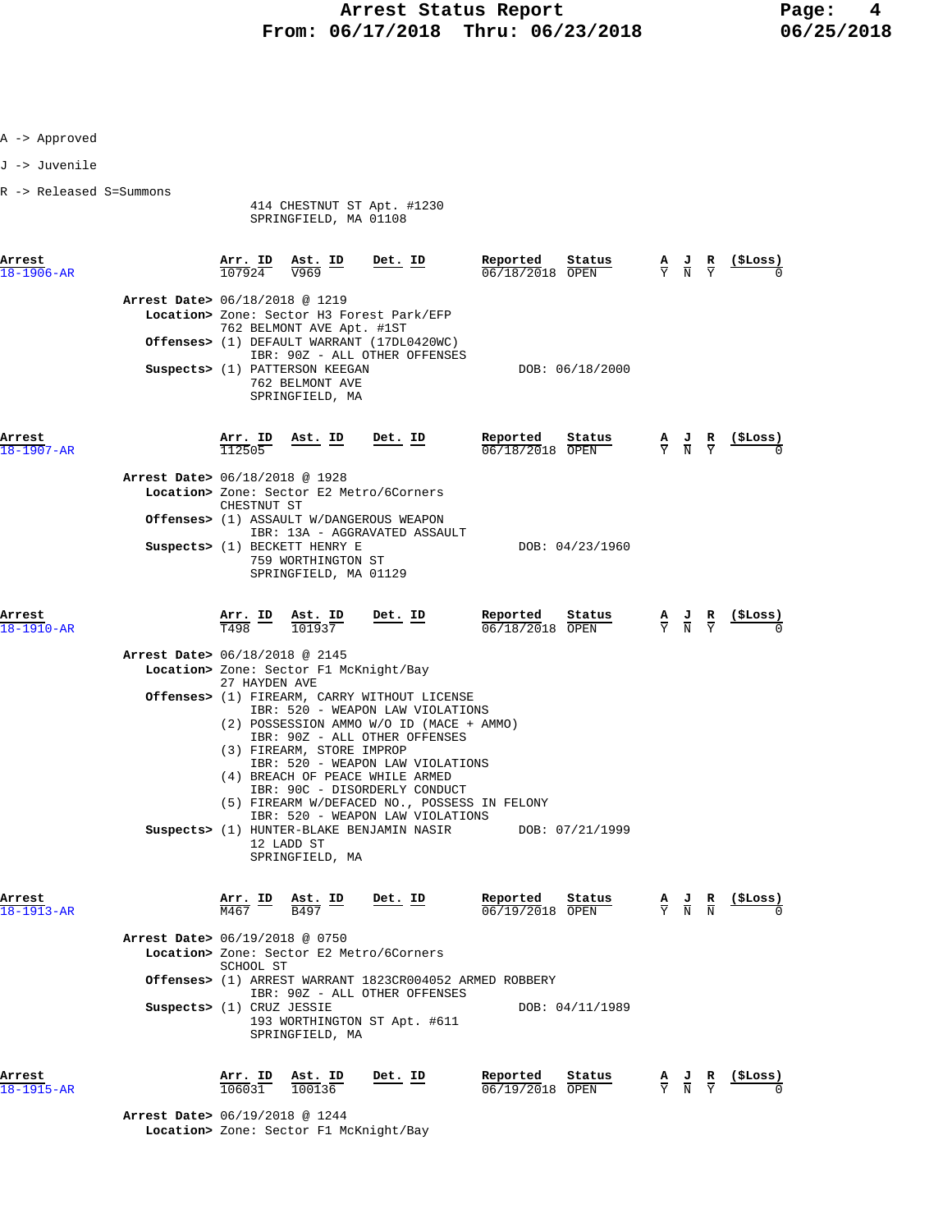|  |  | Approved |
|--|--|----------|
|--|--|----------|

J -> Juvenile

R -> Released S=Summons

 414 CHESTNUT ST Apt. #1230 SPRINGFIELD, MA 01108

| Arrest<br>$18 - 1906 - AR$                                                                          | Arr. ID<br>107924                                     | Ast. ID<br>$\overline{V969}$                                                                                              | Det. ID                                                                                                                                                                                                                                                                                                                                                                                                           | Reported<br>06/18/2018 OPEN                    | Status                    | $rac{\mathbf{A}}{\mathbf{Y}}$ | $\frac{J}{N}$                                                                                   | $rac{\mathbf{R}}{\mathbf{Y}}$ | (ŞLoss)  |
|-----------------------------------------------------------------------------------------------------|-------------------------------------------------------|---------------------------------------------------------------------------------------------------------------------------|-------------------------------------------------------------------------------------------------------------------------------------------------------------------------------------------------------------------------------------------------------------------------------------------------------------------------------------------------------------------------------------------------------------------|------------------------------------------------|---------------------------|-------------------------------|-------------------------------------------------------------------------------------------------|-------------------------------|----------|
| Arrest Date> 06/18/2018 @ 1219                                                                      |                                                       | 762 BELMONT AVE Apt. #1ST<br>Suspects> (1) PATTERSON KEEGAN<br>762 BELMONT AVE<br>SPRINGFIELD, MA                         | Location> Zone: Sector H3 Forest Park/EFP<br><b>Offenses&gt;</b> (1) DEFAULT WARRANT (17DL0420WC)<br>IBR: 90Z - ALL OTHER OFFENSES                                                                                                                                                                                                                                                                                |                                                | DOB: 06/18/2000           |                               |                                                                                                 |                               |          |
| Arrest<br>18-1907-AR<br>Arrest Date> 06/18/2018 @ 1928                                              | Arr. ID<br>112505<br>CHESTNUT ST                      | Ast. ID<br>Suspects> (1) BECKETT HENRY E<br>759 WORTHINGTON ST<br>SPRINGFIELD, MA 01129                                   | Det. ID<br>Location> Zone: Sector E2 Metro/6Corners<br><b>Offenses&gt;</b> (1) ASSAULT W/DANGEROUS WEAPON<br>IBR: 13A - AGGRAVATED ASSAULT                                                                                                                                                                                                                                                                        | Reported<br>06/18/2018 OPEN                    | Status<br>DOB: 04/23/1960 |                               | $\frac{\mathbf{A}}{\mathbf{Y}}$ $\frac{\mathbf{J}}{\mathbf{N}}$ $\frac{\mathbf{R}}{\mathbf{Y}}$ |                               |          |
| Arrest<br>18-1910-AR<br>Arrest Date> 06/18/2018 @ 2145                                              | $\frac{\text{Arr.}}{\text{T498}}$ ID<br>27 HAYDEN AVE | Ast. ID<br>101937<br>Location> Zone: Sector F1 McKnight/Bay<br>(3) FIREARM, STORE IMPROP<br>12 LADD ST<br>SPRINGFIELD, MA | Det. ID<br>Offenses> (1) FIREARM, CARRY WITHOUT LICENSE<br>IBR: 520 - WEAPON LAW VIOLATIONS<br>(2) POSSESSION AMMO W/O ID (MACE + AMMO)<br>IBR: 90Z - ALL OTHER OFFENSES<br>IBR: 520 - WEAPON LAW VIOLATIONS<br>(4) BREACH OF PEACE WHILE ARMED<br>IBR: 90C - DISORDERLY CONDUCT<br>(5) FIREARM W/DEFACED NO., POSSESS IN FELONY<br>IBR: 520 - WEAPON LAW VIOLATIONS<br>Suspects> (1) HUNTER-BLAKE BENJAMIN NASIR | Reported<br>06/18/2018 OPEN<br>DOB: 07/21/1999 | Status                    |                               | $\frac{J}{N}$                                                                                   | $rac{\mathbf{R}}{\mathrm{Y}}$ |          |
| Arrest<br>$18 - 1913 - AR$<br><b>Arrest Date&gt;</b> 06/19/2018 @ 0750<br>Suspects> (1) CRUZ JESSIE | <u>Arr. ID</u><br>SCHOOL ST                           | <u>Ast. ID</u><br>B497<br>SPRINGFIELD, MA                                                                                 | Det. ID<br>Location> Zone: Sector E2 Metro/6Corners<br>Offenses> (1) ARREST WARRANT 1823CR004052 ARMED ROBBERY<br>IBR: 90Z - ALL OTHER OFFENSES<br>193 WORTHINGTON ST Apt. #611                                                                                                                                                                                                                                   | Reported<br>06/19/2018 OPEN                    | Status<br>DOB: 04/11/1989 | $\frac{A}{Y}$                 |                                                                                                 |                               | (ŞLoss)  |
| Arrest<br>18-1915-AR                                                                                | Arr. ID<br>$10603\bar{1}$                             | Ast. ID<br>100136                                                                                                         | Det. ID                                                                                                                                                                                                                                                                                                                                                                                                           | Reported<br>06/19/2018 OPEN                    | Status                    | $\frac{A}{Y}$                 | $\frac{1}{N}$                                                                                   | $\frac{R}{V}$                 | (\$Loss) |

 **Arrest Date>** 06/19/2018 @ 1244  **Location>** Zone: Sector F1 McKnight/Bay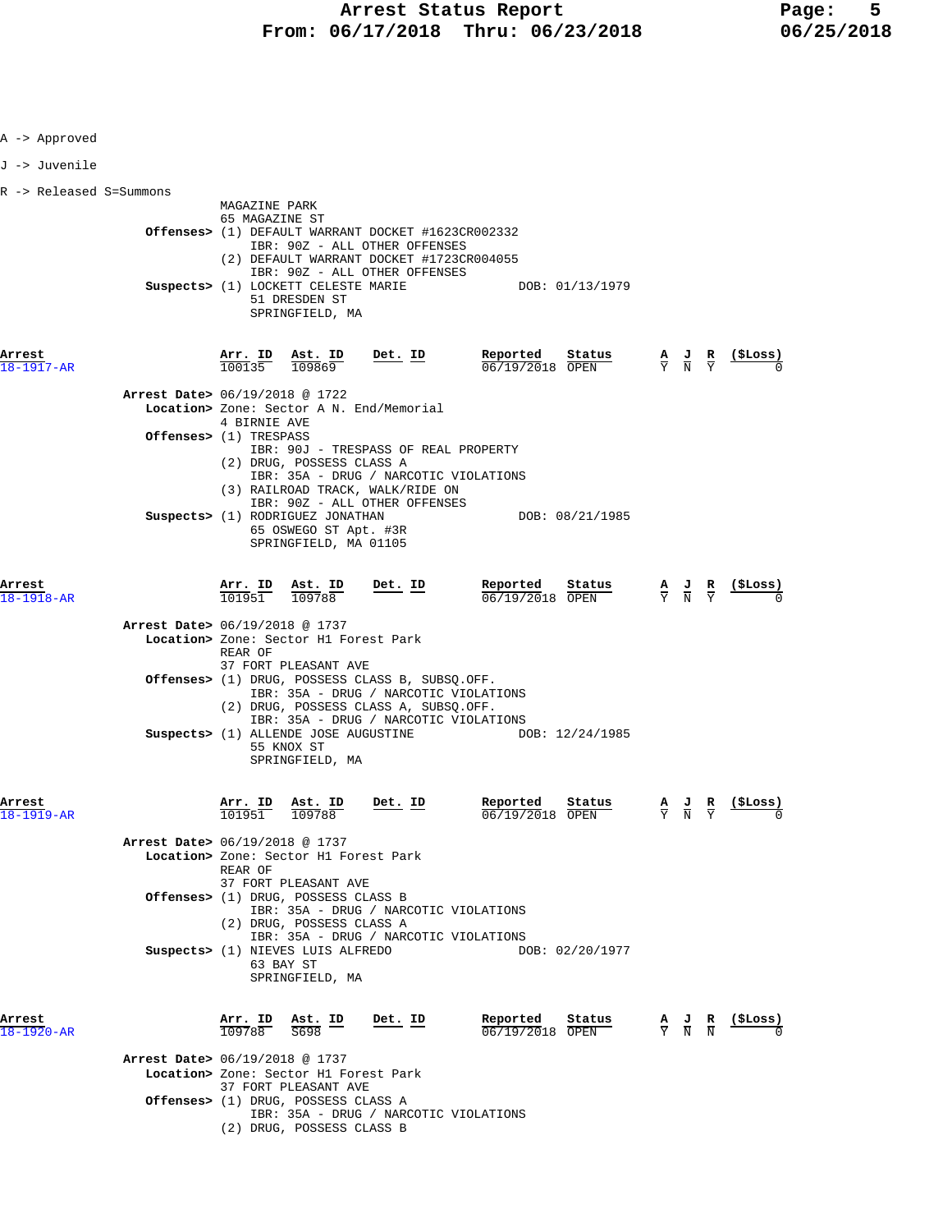| A -> Approved           |                                                                                                                                                                                                                                                                                          |                                       |                                                                                                       |                                |
|-------------------------|------------------------------------------------------------------------------------------------------------------------------------------------------------------------------------------------------------------------------------------------------------------------------------------|---------------------------------------|-------------------------------------------------------------------------------------------------------|--------------------------------|
| J -> Juvenile           |                                                                                                                                                                                                                                                                                          |                                       |                                                                                                       |                                |
| R -> Released S=Summons |                                                                                                                                                                                                                                                                                          |                                       |                                                                                                       |                                |
|                         | MAGAZINE PARK<br>65 MAGAZINE ST<br><b>Offenses&gt;</b> (1) DEFAULT WARRANT DOCKET #1623CR002332<br>IBR: 90Z - ALL OTHER OFFENSES<br>(2) DEFAULT WARRANT DOCKET #1723CR004055<br>IBR: 90Z - ALL OTHER OFFENSES<br>Suspects> (1) LOCKETT CELESTE MARIE<br>51 DRESDEN ST<br>SPRINGFIELD, MA | DOB: 01/13/1979                       |                                                                                                       |                                |
| Arrest<br>18-1917-AR    | Arr. ID<br>Ast. ID<br>$Det$ . ID<br>100135<br>109869                                                                                                                                                                                                                                     | Reported<br>Status<br>06/19/2018 OPEN | $\frac{\mathbf{A}}{\overline{Y}}$ $\frac{\mathbf{J}}{\overline{N}}$ $\frac{\mathbf{R}}{\overline{Y}}$ | (SLOSS)                        |
|                         | Arrest Date> 06/19/2018 @ 1722<br>Location> Zone: Sector A N. End/Memorial                                                                                                                                                                                                               |                                       |                                                                                                       |                                |
|                         | 4 BIRNIE AVE<br>Offenses> (1) TRESPASS                                                                                                                                                                                                                                                   |                                       |                                                                                                       |                                |
|                         | IBR: 90J - TRESPASS OF REAL PROPERTY<br>(2) DRUG, POSSESS CLASS A<br>IBR: 35A - DRUG / NARCOTIC VIOLATIONS<br>(3) RAILROAD TRACK, WALK/RIDE ON<br>IBR: 90Z - ALL OTHER OFFENSES<br>Suspects> (1) RODRIGUEZ JONATHAN<br>65 OSWEGO ST Apt. #3R<br>SPRINGFIELD, MA 01105                    | DOB: 08/21/1985                       |                                                                                                       |                                |
| Arrest<br>18-1918-AR    | Arr. ID Ast. ID<br>Det. ID<br>101951<br>109788                                                                                                                                                                                                                                           | Reported<br>Status<br>06/19/2018 OPEN | $\frac{\mathbf{A}}{\mathbf{Y}}$ $\frac{\mathbf{J}}{\mathbf{N}}$ $\frac{\mathbf{R}}{\mathbf{Y}}$       | (ŞLoss)                        |
|                         | <b>Arrest Date&gt; 06/19/2018 @ 1737</b><br>Location> Zone: Sector H1 Forest Park<br>REAR OF<br>37 FORT PLEASANT AVE                                                                                                                                                                     |                                       |                                                                                                       |                                |
|                         | <b>Offenses&gt;</b> (1) DRUG, POSSESS CLASS B, SUBSQ.OFF.<br>IBR: 35A - DRUG / NARCOTIC VIOLATIONS<br>(2) DRUG, POSSESS CLASS A, SUBSQ.OFF.                                                                                                                                              |                                       |                                                                                                       |                                |
|                         | IBR: 35A - DRUG / NARCOTIC VIOLATIONS<br>Suspects> (1) ALLENDE JOSE AUGUSTINE<br>55 KNOX ST<br>SPRINGFIELD, MA                                                                                                                                                                           | DOB: 12/24/1985                       |                                                                                                       |                                |
| Arrest<br>18-1919-AR    | Arr. ID Ast. ID<br>Det. ID<br>101951 109788                                                                                                                                                                                                                                              | Reported<br>Status<br>06/19/2018 OPEN | Y N Y                                                                                                 | A J R (\$Loss)<br>$\mathbf{0}$ |
|                         | Arrest Date> 06/19/2018 @ 1737<br>Location> Zone: Sector H1 Forest Park<br>REAR OF                                                                                                                                                                                                       |                                       |                                                                                                       |                                |
|                         | 37 FORT PLEASANT AVE<br><b>Offenses&gt;</b> (1) DRUG, POSSESS CLASS B<br>IBR: 35A - DRUG / NARCOTIC VIOLATIONS<br>(2) DRUG, POSSESS CLASS A                                                                                                                                              |                                       |                                                                                                       |                                |
|                         | IBR: 35A - DRUG / NARCOTIC VIOLATIONS<br>Suspects> (1) NIEVES LUIS ALFREDO<br>63 BAY ST<br>SPRINGFIELD, MA                                                                                                                                                                               | DOB: 02/20/1977                       |                                                                                                       |                                |
| Arrest<br>18-1920-AR    | Arr. ID<br><u>Ast. ID</u><br>Det. ID<br>109788<br>S698<br>Arrest Date> 06/19/2018 @ 1737<br>Location> Zone: Sector H1 Forest Park                                                                                                                                                        | Reported<br>Status<br>06/19/2018 OPEN | $\frac{A}{Y}$ $\frac{J}{N}$ $\frac{R}{N}$                                                             | (ŞLoss)                        |
|                         | 37 FORT PLEASANT AVE<br>Offenses> (1) DRUG, POSSESS CLASS A<br>IBR: 35A - DRUG / NARCOTIC VIOLATIONS<br>(2) DRUG, POSSESS CLASS B                                                                                                                                                        |                                       |                                                                                                       |                                |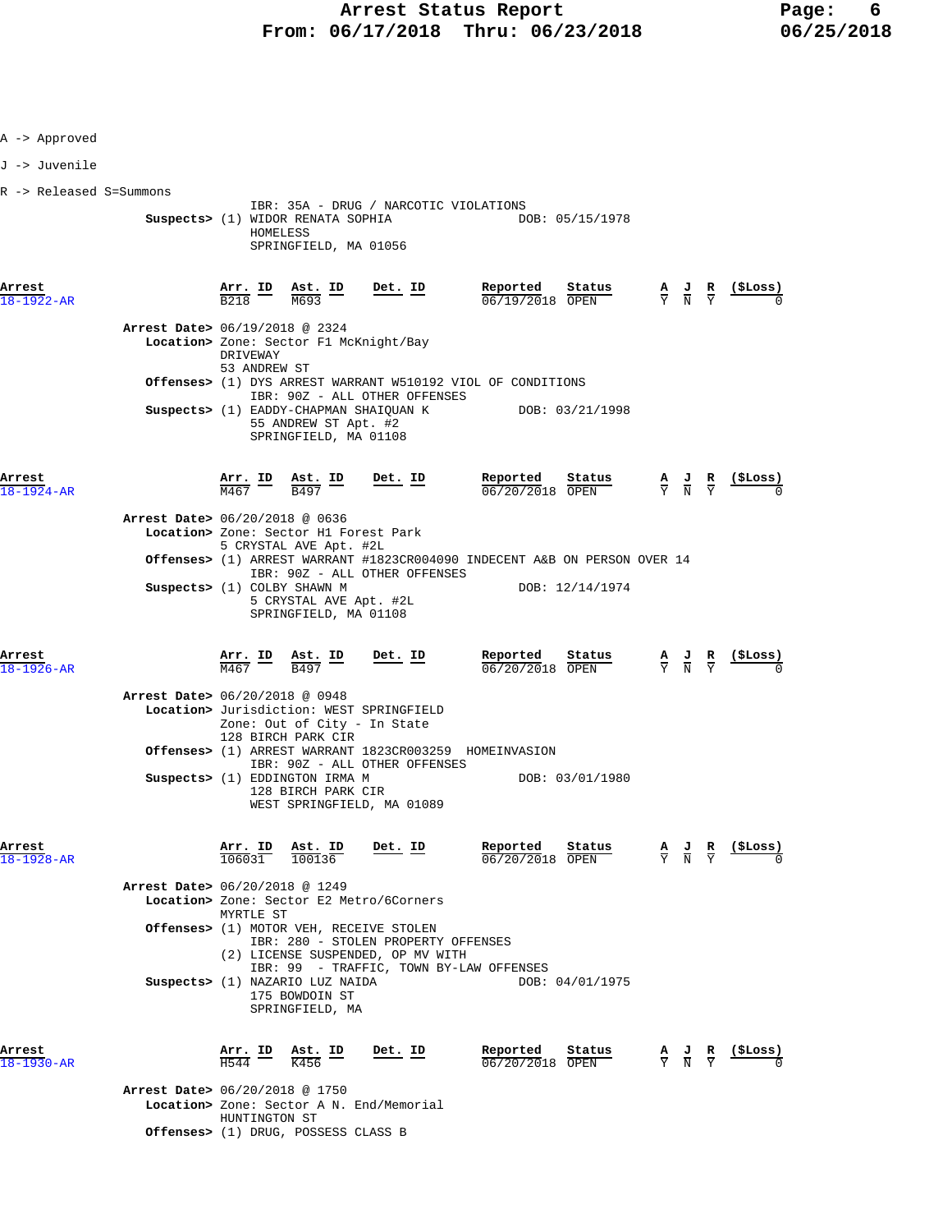| A -> Approved              |                                                                            |                                                                           |                                                                                   |         |                |                                                                                                                                                                                                                                                                                                                                                                           |                                                                                                          |                                                                 |                                                               |
|----------------------------|----------------------------------------------------------------------------|---------------------------------------------------------------------------|-----------------------------------------------------------------------------------|---------|----------------|---------------------------------------------------------------------------------------------------------------------------------------------------------------------------------------------------------------------------------------------------------------------------------------------------------------------------------------------------------------------------|----------------------------------------------------------------------------------------------------------|-----------------------------------------------------------------|---------------------------------------------------------------|
| J -> Juvenile              |                                                                            |                                                                           |                                                                                   |         |                |                                                                                                                                                                                                                                                                                                                                                                           |                                                                                                          |                                                                 |                                                               |
| R -> Released S=Summons    |                                                                            |                                                                           |                                                                                   |         |                |                                                                                                                                                                                                                                                                                                                                                                           |                                                                                                          |                                                                 |                                                               |
|                            |                                                                            | HOMELESS                                                                  | SPRINGFIELD, MA 01056                                                             |         |                | IBR: 35A - DRUG / NARCOTIC VIOLATIONS<br>Suspects> (1) WIDOR RENATA SOPHIA DOB: 05/15/1978                                                                                                                                                                                                                                                                                |                                                                                                          |                                                                 |                                                               |
| Arrest<br>18-1922-AR       |                                                                            |                                                                           |                                                                                   |         |                | <b>Arr. ID</b> Ast. ID Det. ID Reported<br>$\frac{1}{1000}$ $\frac{1}{1000}$ $\frac{1}{1000}$ $\frac{1}{1000}$<br>06/19/2018 OPEN                                                                                                                                                                                                                                         | $\frac{\text{Status}}{\text{OPEN}}$ $\frac{A}{Y}$ $\frac{J}{N}$ $\frac{R}{Y}$ $\frac{(\text{SLoss})}{0}$ |                                                                 |                                                               |
|                            | Arrest Date> 06/19/2018 @ 2324<br>Location> Zone: Sector F1 McKnight/Bay   | DRIVEWAY                                                                  |                                                                                   |         |                |                                                                                                                                                                                                                                                                                                                                                                           |                                                                                                          |                                                                 |                                                               |
|                            |                                                                            | 53 ANDREW ST                                                              |                                                                                   |         |                | Offenses> (1) DYS ARREST WARRANT W510192 VIOL OF CONDITIONS                                                                                                                                                                                                                                                                                                               |                                                                                                          |                                                                 |                                                               |
|                            |                                                                            |                                                                           | IBR: 90Z - ALL OTHER OFFENSES<br>55 ANDREW ST Apt. #2<br>SPRINGFIELD, MA 01108    |         |                | Suspects> (1) EADDY-CHAPMAN SHAIQUAN K DOB: 03/21/1998                                                                                                                                                                                                                                                                                                                    |                                                                                                          |                                                                 |                                                               |
| Arrest<br>$18 - 1924 - AR$ |                                                                            |                                                                           |                                                                                   |         |                | $\frac{\texttt{Arr.}}{\texttt{M467}} \quad \frac{\texttt{ID}}{\texttt{B497}} \quad \frac{\texttt{Det.}}{\texttt{D}} \quad \frac{\texttt{Det.}}{\texttt{D}} \quad \frac{\texttt{Reported}}{\texttt{06/20/2018}} \quad \frac{\texttt{status}}{\texttt{OPEN}}$<br><b>Reported</b> Status A J R (\$Loss) $\frac{0.672072018}{0.0202018}$ OPEN $\frac{0.672072018}{0.0202018}$ |                                                                                                          |                                                                 |                                                               |
|                            | Arrest Date> 06/20/2018 @ 0636<br>Location> Zone: Sector H1 Forest Park    |                                                                           | 5 CRYSTAL AVE Apt. #2L                                                            |         |                |                                                                                                                                                                                                                                                                                                                                                                           |                                                                                                          |                                                                 |                                                               |
|                            |                                                                            |                                                                           | IBR: 90Z - ALL OTHER OFFENSES                                                     |         |                | Offenses> (1) ARREST WARRANT #1823CR004090 INDECENT A&B ON PERSON OVER 14                                                                                                                                                                                                                                                                                                 |                                                                                                          |                                                                 |                                                               |
|                            | Suspects> (1) COLBY SHAWN M                                                |                                                                           | 5 CRYSTAL AVE Apt. #2L<br>SPRINGFIELD, MA 01108                                   |         |                |                                                                                                                                                                                                                                                                                                                                                                           | DOB: 12/14/1974                                                                                          |                                                                 |                                                               |
| Arrest<br>$18 - 1926 - AR$ |                                                                            |                                                                           | $\frac{\text{Arr.}}{\text{M467}}$ ID $\frac{\text{Ast.}}{\text{B497}}$ ID Det. ID |         |                | Reported Status<br>$\frac{1}{06/20/2018}$ $\frac{1}{\text{OPEN}}$                                                                                                                                                                                                                                                                                                         |                                                                                                          |                                                                 | $\frac{A}{Y}$ $\frac{J}{N}$ $\frac{R}{Y}$ (\$Loss)            |
|                            | Arrest Date> 06/20/2018 @ 0948<br>Location> Jurisdiction: WEST SPRINGFIELD |                                                                           | Zone: Out of City - In State<br>128 BIRCH PARK CIR                                |         |                |                                                                                                                                                                                                                                                                                                                                                                           |                                                                                                          |                                                                 |                                                               |
|                            |                                                                            |                                                                           |                                                                                   |         |                | Offenses> (1) ARREST WARRANT 1823CR003259 HOMEINVASION                                                                                                                                                                                                                                                                                                                    |                                                                                                          |                                                                 |                                                               |
|                            | Suspects> (1) EDDINGTON IRMA M                                             |                                                                           | IBR: 90Z - ALL OTHER OFFENSES<br>128 BIRCH PARK CIR<br>WEST SPRINGFIELD, MA 01089 |         |                |                                                                                                                                                                                                                                                                                                                                                                           | DOB: 03/01/1980                                                                                          |                                                                 |                                                               |
| Arrest<br>18-1928-AR       |                                                                            | 106031                                                                    | Arr. ID Ast. ID<br>100136                                                         |         | <u>Det. ID</u> | Reported<br>Reported Status<br>$\frac{06}{20/20/2018}$ OPEN                                                                                                                                                                                                                                                                                                               |                                                                                                          | $\frac{\mathbf{A}}{\mathbf{Y}}$ $\frac{\mathbf{J}}{\mathbf{N}}$ | (\$Loss)                                                      |
|                            | Arrest Date> 06/20/2018 @ 1249<br>Location> Zone: Sector E2 Metro/6Corners | MYRTLE ST                                                                 |                                                                                   |         |                |                                                                                                                                                                                                                                                                                                                                                                           |                                                                                                          |                                                                 |                                                               |
|                            | <b>Offenses&gt;</b> (1) MOTOR VEH, RECEIVE STOLEN                          |                                                                           | IBR: 280 - STOLEN PROPERTY OFFENSES<br>(2) LICENSE SUSPENDED, OP MV WITH          |         |                |                                                                                                                                                                                                                                                                                                                                                                           |                                                                                                          |                                                                 |                                                               |
|                            | Suspects> (1) NAZARIO LUZ NAIDA                                            |                                                                           | 175 BOWDOIN ST<br>SPRINGFIELD, MA                                                 |         |                | IBR: 99 - TRAFFIC, TOWN BY-LAW OFFENSES                                                                                                                                                                                                                                                                                                                                   | DOB: 04/01/1975                                                                                          |                                                                 |                                                               |
| Arrest<br>18-1930-AR       |                                                                            | $\frac{\text{Arr.}}{\text{H544}}$ ID $\frac{\text{Ast.}}{\text{K456}}$ ID |                                                                                   | Det. ID |                | Reported<br>06/20/2018 OPEN                                                                                                                                                                                                                                                                                                                                               | Status                                                                                                   |                                                                 | $\frac{A}{Y}$ $\frac{J}{N}$ $\frac{R}{Y}$ $\frac{($Loss)}{0}$ |
|                            | Arrest Date> 06/20/2018 @ 1750<br>Location> Zone: Sector A N. End/Memorial | HUNTINGTON ST                                                             |                                                                                   |         |                |                                                                                                                                                                                                                                                                                                                                                                           |                                                                                                          |                                                                 |                                                               |
|                            | Offenses> (1) DRUG, POSSESS CLASS B                                        |                                                                           |                                                                                   |         |                |                                                                                                                                                                                                                                                                                                                                                                           |                                                                                                          |                                                                 |                                                               |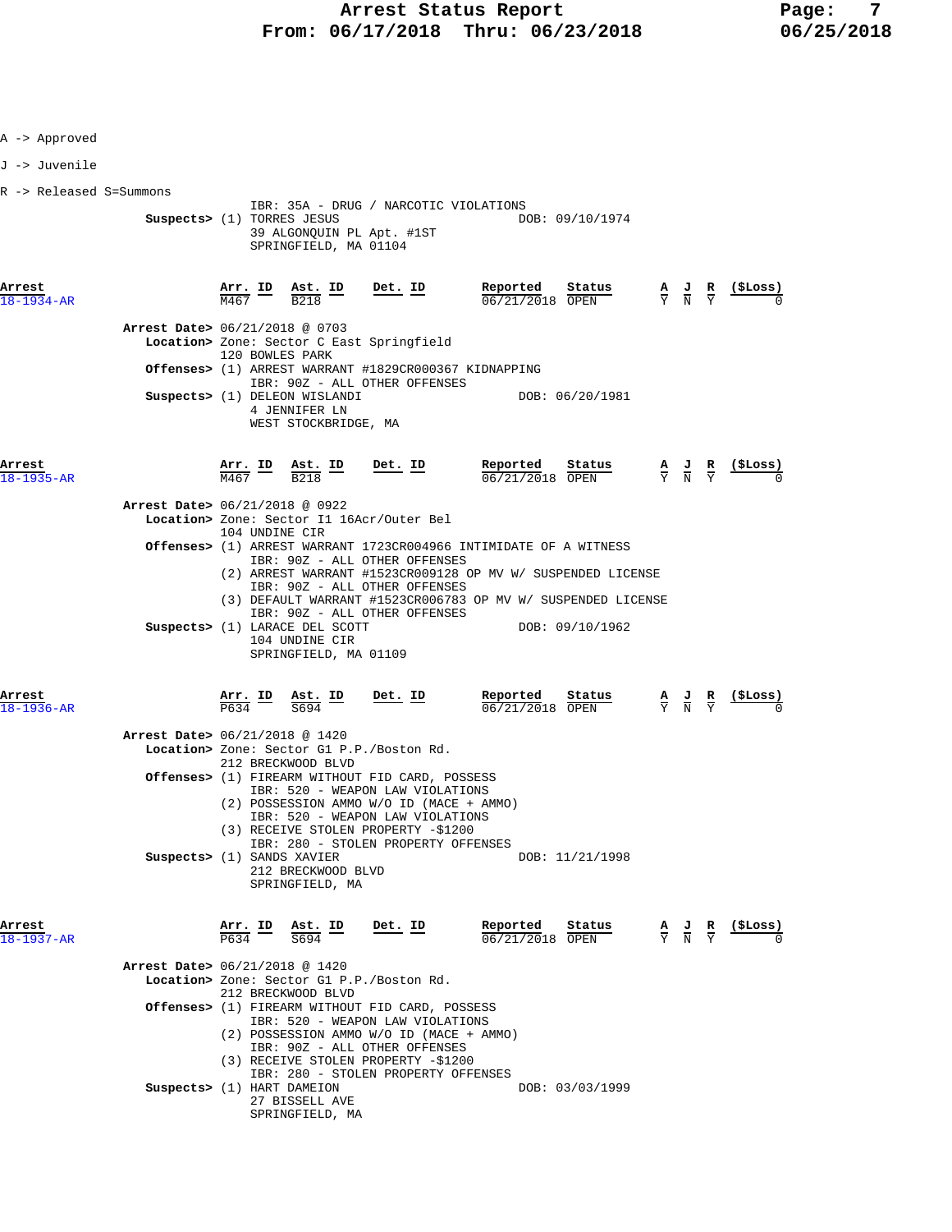| A -> Approved              |                                                              |                                          |                                                                           |                                                                                                                                                                                                                                                                                                                                                  |                                                                                                                                  |                 |  |                                                                                                 |                                                                                 |
|----------------------------|--------------------------------------------------------------|------------------------------------------|---------------------------------------------------------------------------|--------------------------------------------------------------------------------------------------------------------------------------------------------------------------------------------------------------------------------------------------------------------------------------------------------------------------------------------------|----------------------------------------------------------------------------------------------------------------------------------|-----------------|--|-------------------------------------------------------------------------------------------------|---------------------------------------------------------------------------------|
| J -> Juvenile              |                                                              |                                          |                                                                           |                                                                                                                                                                                                                                                                                                                                                  |                                                                                                                                  |                 |  |                                                                                                 |                                                                                 |
| R -> Released S=Summons    | Suspects> (1) TORRES JESUS                                   |                                          | SPRINGFIELD, MA 01104                                                     | IBR: 35A - DRUG / NARCOTIC VIOLATIONS<br>39 ALGONQUIN PL Apt. #1ST                                                                                                                                                                                                                                                                               | DOB: 09/10/1974                                                                                                                  |                 |  |                                                                                                 |                                                                                 |
| Arrest<br>$18 - 1934 - AR$ |                                                              |                                          |                                                                           | $\frac{\text{Arr. ID}}{\text{M467}}$ $\frac{\text{Ast. ID}}{\text{B218}}$ $\frac{\text{Det. ID}}{\text{Det.}}$                                                                                                                                                                                                                                   | Reported<br><b>Reported</b> Status A J R (\$Loss) $\frac{1}{06}/21/2018$ OPEN $\frac{1}{Y}$ $\frac{1}{N}$ $\frac{1}{Y}$ (\$Loss) |                 |  |                                                                                                 |                                                                                 |
|                            | Arrest Date> 06/21/2018 @ 0703                               | 120 BOWLES PARK                          | Suspects> (1) DELEON WISLANDI<br>4 JENNIFER LN<br>WEST STOCKBRIDGE, MA    | Location> Zone: Sector C East Springfield<br><b>Offenses&gt;</b> (1) ARREST WARRANT #1829CR000367 KIDNAPPING<br>IBR: 90Z - ALL OTHER OFFENSES                                                                                                                                                                                                    |                                                                                                                                  | DOB: 06/20/1981 |  |                                                                                                 |                                                                                 |
| Arrest<br>$18 - 1935 - AR$ |                                                              |                                          |                                                                           | $\frac{\texttt{Arr.}}{\texttt{M467}}$ ID $\frac{\texttt{Ast.}}{\texttt{B218}}$ ID Det. ID                                                                                                                                                                                                                                                        | Reported<br><b><u>Reported</u></b> Status $\overline{06/21/2018}$ OPEN $\overline{Y}$ $\overline{N}$ $\overline{Y}$ (\$Loss)     |                 |  |                                                                                                 |                                                                                 |
|                            | Arrest Date> 06/21/2018 @ 0922                               | 104 UNDINE CIR                           | Suspects> (1) LARACE DEL SCOTT<br>104 UNDINE CIR<br>SPRINGFIELD, MA 01109 | Location> Zone: Sector I1 16Acr/Outer Bel<br>Offenses> (1) ARREST WARRANT 1723CR004966 INTIMIDATE OF A WITNESS<br>IBR: 90Z - ALL OTHER OFFENSES<br>(2) ARREST WARRANT #1523CR009128 OP MV W/ SUSPENDED LICENSE<br>IBR: 90Z - ALL OTHER OFFENSES<br>(3) DEFAULT WARRANT #1523CR006783 OP MV W/ SUSPENDED LICENSE<br>IBR: 90Z - ALL OTHER OFFENSES | DOB: 09/10/1962                                                                                                                  |                 |  |                                                                                                 |                                                                                 |
| Arrest<br>18-1936-AR       |                                                              |                                          |                                                                           | $\frac{\texttt{Arr.}}{\texttt{P634}}$ ID $\frac{\texttt{ Ast.}}{\texttt{S694}}$ ID Det. ID                                                                                                                                                                                                                                                       | Reported<br>$06/21/2018$ OPEN                                                                                                    | Status          |  |                                                                                                 | $\frac{A}{Y}$ $\frac{J}{N}$ $\frac{R}{Y}$ $\frac{(\frac{5}{7} \text{Loss})}{0}$ |
|                            | Arrest Date> 06/21/2018 @ 1420<br>Suspects> (1) SANDS XAVIER |                                          | 212 BRECKWOOD BLVD<br>212 BRECKWOOD BLVD<br>SPRINGFIELD, MA               | Location> Zone: Sector G1 P.P./Boston Rd.<br><b>Offenses&gt;</b> (1) FIREARM WITHOUT FID CARD, POSSESS<br>IBR: 520 - WEAPON LAW VIOLATIONS<br>(2) POSSESSION AMMO W/O ID (MACE + AMMO)<br>IBR: 520 - WEAPON LAW VIOLATIONS<br>(3) RECEIVE STOLEN PROPERTY -\$1200<br>IBR: 280 - STOLEN PROPERTY OFFENSES                                         |                                                                                                                                  | DOB: 11/21/1998 |  |                                                                                                 |                                                                                 |
| Arrest<br>$18 - 1937 - AR$ |                                                              | $\frac{\texttt{Arr.}}{\texttt{P634}}$ ID | $\frac{\texttt{Ast.}}{\texttt{S694}}$ ID                                  | Det. ID                                                                                                                                                                                                                                                                                                                                          | Reported<br>06/21/2018 OPEN                                                                                                      | Status          |  | $\frac{\mathbf{A}}{\mathbf{Y}}$ $\frac{\mathbf{J}}{\mathbf{N}}$ $\frac{\mathbf{R}}{\mathbf{Y}}$ | $\frac{(\texttt{SLoss})}{\text{S}}$                                             |
|                            | Arrest Date> 06/21/2018 @ 1420                               |                                          | 212 BRECKWOOD BLVD                                                        | Location> Zone: Sector G1 P.P./Boston Rd.<br>Offenses> (1) FIREARM WITHOUT FID CARD, POSSESS<br>IBR: 520 - WEAPON LAW VIOLATIONS<br>(2) POSSESSION AMMO W/O ID (MACE + AMMO)<br>IBR: 90Z - ALL OTHER OFFENSES<br>(3) RECEIVE STOLEN PROPERTY -\$1200<br>IBR: 280 - STOLEN PROPERTY OFFENSES                                                      |                                                                                                                                  |                 |  |                                                                                                 |                                                                                 |
|                            | Suspects> (1) HART DAMEION                                   |                                          | 27 BISSELL AVE<br>SPRINGFIELD, MA                                         |                                                                                                                                                                                                                                                                                                                                                  |                                                                                                                                  | DOB: 03/03/1999 |  |                                                                                                 |                                                                                 |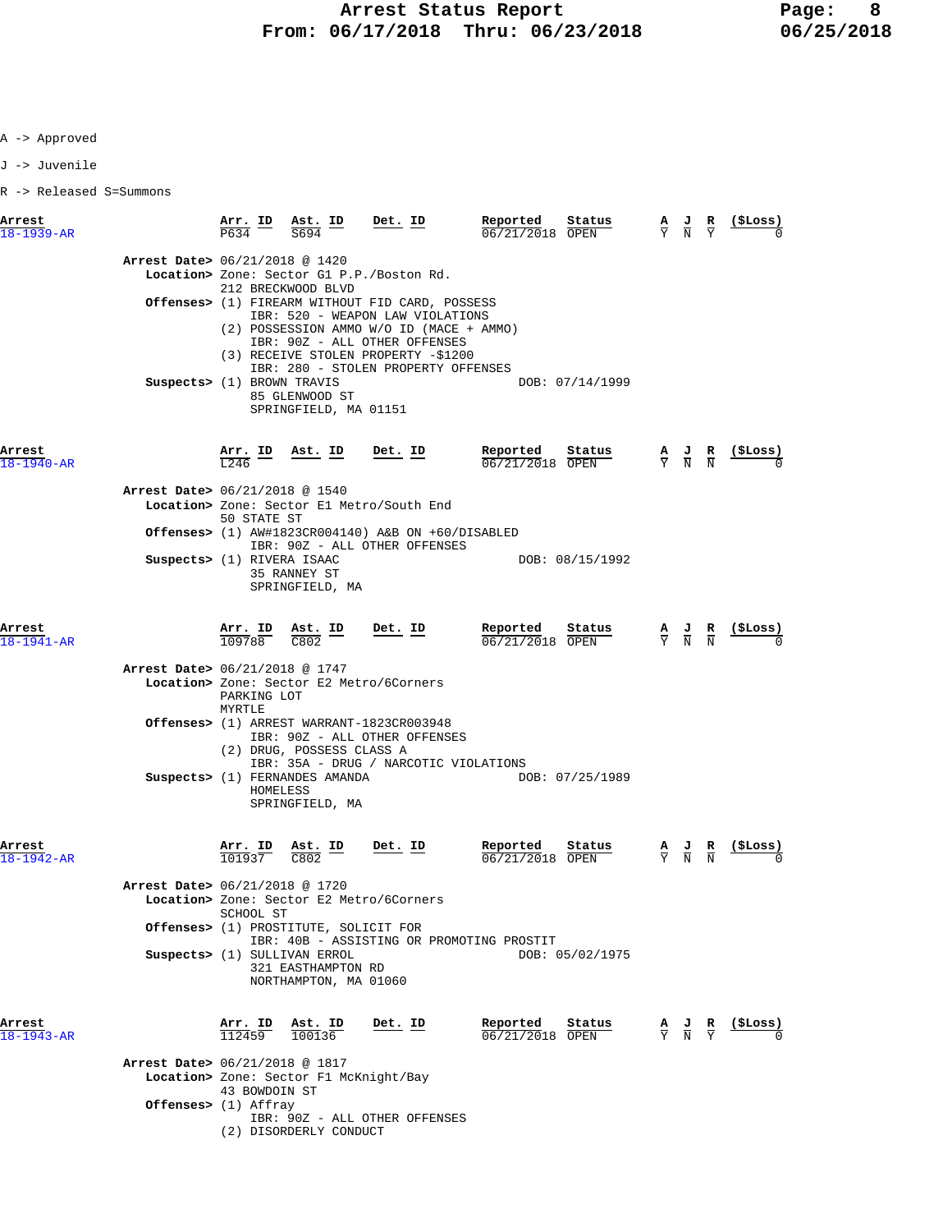A -> Approved

J -> Juvenile

R -> Released S=Summons

| Arrest<br>$18 - 1939 - AR$     | Arr. ID<br>P634                                 | Ast. ID<br>S694                                                             | Det. ID                                                                                                                                                                    | Reported<br>06/21/2018 OPEN              | Status          | А<br>$\overline{v}$             | $\frac{J}{N}$                                                                                   | $\frac{R}{Y}$ | (\$Loss) |
|--------------------------------|-------------------------------------------------|-----------------------------------------------------------------------------|----------------------------------------------------------------------------------------------------------------------------------------------------------------------------|------------------------------------------|-----------------|---------------------------------|-------------------------------------------------------------------------------------------------|---------------|----------|
| Arrest Date> 06/21/2018 @ 1420 |                                                 | 212 BRECKWOOD BLVD                                                          | Location> Zone: Sector G1 P.P./Boston Rd.                                                                                                                                  |                                          |                 |                                 |                                                                                                 |               |          |
|                                |                                                 |                                                                             | <b>Offenses&gt;</b> (1) FIREARM WITHOUT FID CARD, POSSESS<br>IBR: 520 - WEAPON LAW VIOLATIONS<br>(2) POSSESSION AMMO W/O ID (MACE + AMMO)<br>IBR: 90Z - ALL OTHER OFFENSES |                                          |                 |                                 |                                                                                                 |               |          |
|                                | Suspects> (1) BROWN TRAVIS                      | 85 GLENWOOD ST<br>SPRINGFIELD, MA 01151                                     | (3) RECEIVE STOLEN PROPERTY -\$1200<br>IBR: 280 - STOLEN PROPERTY OFFENSES                                                                                                 |                                          | DOB: 07/14/1999 |                                 |                                                                                                 |               |          |
| Arrest<br>$18 - 1940 - AR$     | <u>Arr. ID</u><br>L <sub>246</sub>              | <u>Ast. ID</u>                                                              | $Det$ . ID                                                                                                                                                                 | Reported<br>06/21/2018 OPEN              | Status          |                                 | $\frac{\mathbf{A}}{\mathbf{Y}}$ $\frac{\mathbf{J}}{\mathbf{N}}$                                 | $\frac{R}{N}$ | (ŞLoss)  |
| Arrest Date> 06/21/2018 @ 1540 | 50 STATE ST                                     |                                                                             | Location> Zone: Sector El Metro/South End                                                                                                                                  |                                          |                 |                                 |                                                                                                 |               |          |
|                                |                                                 |                                                                             | Offenses> $(1)$ AW#1823CR004140) A&B ON +60/DISABLED<br>IBR: 90Z - ALL OTHER OFFENSES                                                                                      |                                          |                 |                                 |                                                                                                 |               |          |
|                                | Suspects> (1) RIVERA ISAAC                      | 35 RANNEY ST<br>SPRINGFIELD, MA                                             |                                                                                                                                                                            |                                          | DOB: 08/15/1992 |                                 |                                                                                                 |               |          |
| Arrest<br>$18 - 1941 - AR$     | <u>Arr. ID</u><br>109788                        | <u>Ast. ID</u><br>C802                                                      | <u>Det. ID</u>                                                                                                                                                             | Reported<br>06/21/2018 OPEN              | Status          |                                 | $\frac{A}{Y}$ $\frac{J}{N}$                                                                     | $\frac{R}{N}$ | (ŞLoss)  |
| Arrest Date> 06/21/2018 @ 1747 | PARKING LOT<br>MYRTLE                           |                                                                             | Location> Zone: Sector E2 Metro/6Corners                                                                                                                                   |                                          |                 |                                 |                                                                                                 |               |          |
|                                |                                                 | (2) DRUG, POSSESS CLASS A                                                   | Offenses> (1) ARREST WARRANT-1823CR003948<br>IBR: 90Z - ALL OTHER OFFENSES<br>IBR: 35A - DRUG / NARCOTIC VIOLATIONS                                                        |                                          |                 |                                 |                                                                                                 |               |          |
|                                |                                                 | Suspects> (1) FERNANDES AMANDA<br>HOMELESS<br>SPRINGFIELD, MA               |                                                                                                                                                                            |                                          | DOB: 07/25/1989 |                                 |                                                                                                 |               |          |
| Arrest<br>$18 - 1942 - AR$     | Arr. ID<br>101937                               | <u>Ast. ID</u><br>C802                                                      | <u>Det. ID</u>                                                                                                                                                             | Reported<br>06/21/2018 OPEN              | Status          | $\frac{\mathbf{A}}{\mathbf{Y}}$ | $\frac{J}{N}$                                                                                   | $\frac{R}{N}$ | (ŞLoss)  |
| Arrest Date> 06/21/2018 @ 1720 | SCHOOL ST                                       |                                                                             | Location> Zone: Sector E2 Metro/6Corners                                                                                                                                   |                                          |                 |                                 |                                                                                                 |               |          |
|                                |                                                 | <b>Offenses&gt;</b> (1) PROSTITUTE, SOLICIT FOR                             | IBR: 40B - ASSISTING OR PROMOTING PROSTIT                                                                                                                                  |                                          |                 |                                 |                                                                                                 |               |          |
|                                |                                                 | Suspects> (1) SULLIVAN ERROL<br>321 EASTHAMPTON RD<br>NORTHAMPTON, MA 01060 |                                                                                                                                                                            |                                          | DOB: 05/02/1975 |                                 |                                                                                                 |               |          |
| Arrest<br>$18 - 1943 - AR$     | Arr. ID<br>112459                               | Ast. ID<br>100136                                                           | Det. ID                                                                                                                                                                    | Reported<br>$\overline{06/21/2018}$ OPEN | Status          |                                 | $\frac{\mathbf{A}}{\mathbf{Y}}$ $\frac{\mathbf{J}}{\mathbf{N}}$ $\frac{\mathbf{R}}{\mathbf{Y}}$ |               | (\$Loss) |
| Arrest Date> 06/21/2018 @ 1817 |                                                 | Location> Zone: Sector F1 McKnight/Bay                                      |                                                                                                                                                                            |                                          |                 |                                 |                                                                                                 |               |          |
|                                | 43 BOWDOIN ST<br><b>Offenses&gt;</b> (1) Affray |                                                                             |                                                                                                                                                                            |                                          |                 |                                 |                                                                                                 |               |          |
|                                |                                                 | (2) DISORDERLY CONDUCT                                                      | IBR: 90Z - ALL OTHER OFFENSES                                                                                                                                              |                                          |                 |                                 |                                                                                                 |               |          |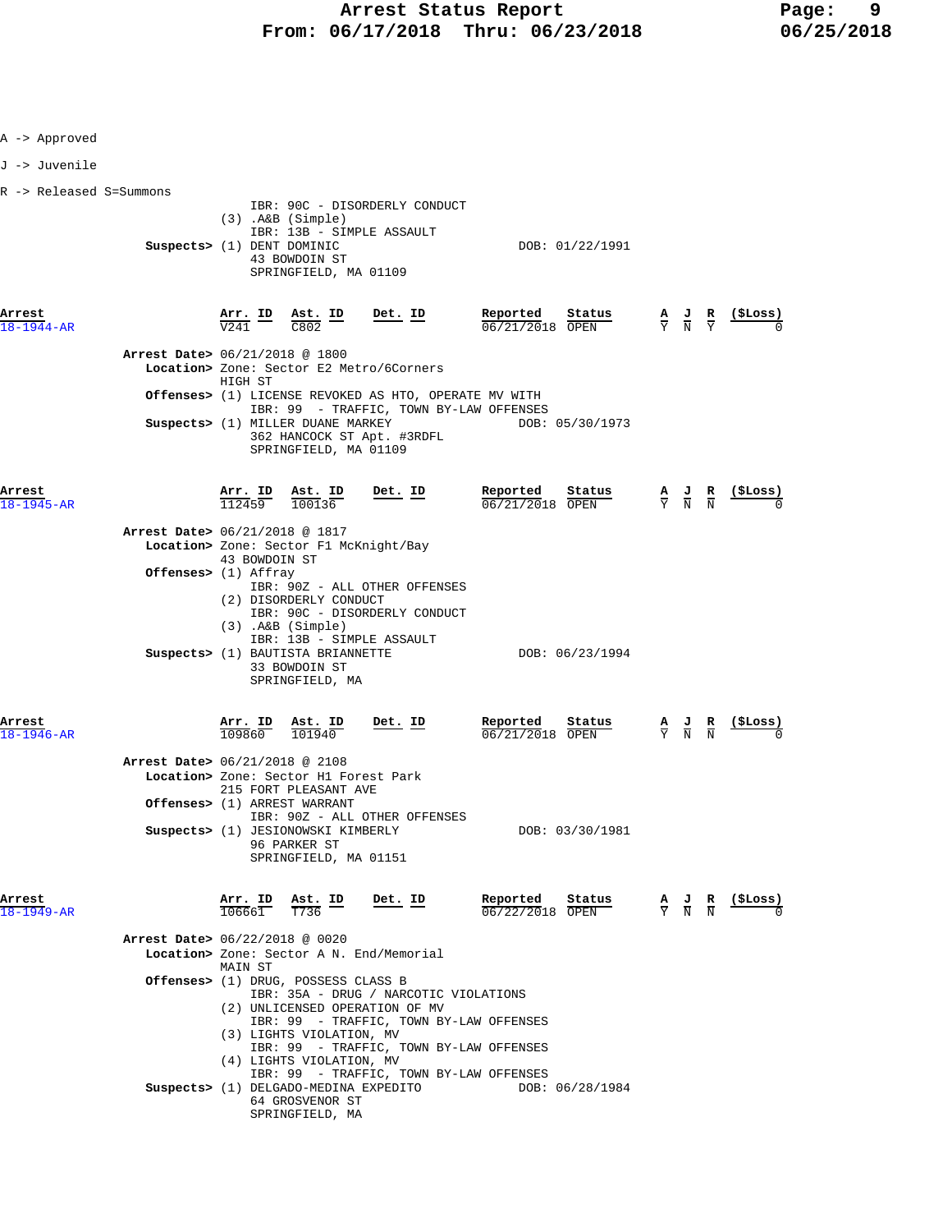| A -> Approved              |                                                        |                                           |                                                                                                                                                                                                           |                                                                                                                                                                                                                                                                 |                                                       |        |                                                                                                 |                        |                                                               |
|----------------------------|--------------------------------------------------------|-------------------------------------------|-----------------------------------------------------------------------------------------------------------------------------------------------------------------------------------------------------------|-----------------------------------------------------------------------------------------------------------------------------------------------------------------------------------------------------------------------------------------------------------------|-------------------------------------------------------|--------|-------------------------------------------------------------------------------------------------|------------------------|---------------------------------------------------------------|
| J -> Juvenile              |                                                        |                                           |                                                                                                                                                                                                           |                                                                                                                                                                                                                                                                 |                                                       |        |                                                                                                 |                        |                                                               |
| R -> Released S=Summons    | Suspects> (1) DENT DOMINIC                             |                                           | $(3)$ . A&B $(Simple)$<br>43 BOWDOIN ST<br>SPRINGFIELD, MA 01109                                                                                                                                          | IBR: 90C - DISORDERLY CONDUCT<br>IBR: 13B - SIMPLE ASSAULT                                                                                                                                                                                                      | DOB: 01/22/1991                                       |        |                                                                                                 |                        |                                                               |
| Arrest<br>18-1944-AR       |                                                        | <u>Arr. ID</u><br>$\overline{V241}$       | <u>Ast. ID</u><br>$\overline{C802}$                                                                                                                                                                       | Det. ID                                                                                                                                                                                                                                                         | Reported<br>06/21/2018 OPEN                           | Status | $\frac{\mathbf{A}}{\mathbf{Y}}$ $\frac{\mathbf{J}}{\mathbf{N}}$ $\frac{\mathbf{R}}{\mathbf{Y}}$ |                        | <u>(SLoss)</u>                                                |
|                            | Arrest Date> 06/21/2018 @ 1800                         | HIGH ST                                   | Suspects> (1) MILLER DUANE MARKEY<br>SPRINGFIELD, MA 01109                                                                                                                                                | Location> Zone: Sector E2 Metro/6Corners<br>Offenses> (1) LICENSE REVOKED AS HTO, OPERATE MV WITH<br>IBR: 99 - TRAFFIC, TOWN BY-LAW OFFENSES<br>362 HANCOCK ST Apt. #3RDFL                                                                                      | DOB: 05/30/1973                                       |        |                                                                                                 |                        |                                                               |
| Arrest<br>18-1945-AR       | Arrest Date> 06/21/2018 @ 1817<br>Offenses> (1) Affray | <u>Arr. ID</u><br>112459<br>43 BOWDOIN ST | $\frac{\texttt{Ast.}}{100136}$<br>Location> Zone: Sector F1 McKnight/Bay<br>(2) DISORDERLY CONDUCT                                                                                                        | <u>Det. ID</u><br>IBR: 90Z - ALL OTHER OFFENSES<br>IBR: 90C - DISORDERLY CONDUCT                                                                                                                                                                                | Reported<br>06/21/2018 OPEN                           | Status | $\frac{\mathbf{A}}{\mathbf{Y}}$ $\frac{\mathbf{J}}{\mathbf{N}}$                                 | $\frac{\mathbf{R}}{N}$ |                                                               |
|                            |                                                        |                                           | $(3)$ . A&B $(Simple)$<br>Suspects> (1) BAUTISTA BRIANNETTE<br>33 BOWDOIN ST<br>SPRINGFIELD, MA                                                                                                           | IBR: 13B - SIMPLE ASSAULT                                                                                                                                                                                                                                       | DOB: 06/23/1994                                       |        |                                                                                                 |                        |                                                               |
| Arrest<br>$18 - 1946 - AR$ | Arrest Date> 06/21/2018 @ 2108                         | Arr. ID<br>109860                         | <u>Ast. ID</u><br>101940<br>Location> Zone: Sector H1 Forest Park<br>215 FORT PLEASANT AVE<br>Offenses> (1) ARREST WARRANT<br>Suspects> (1) JESIONOWSKI KIMBERLY<br>96 PARKER ST<br>SPRINGFIELD, MA 01151 | $Det$ . ID<br>IBR: 90Z - ALL OTHER OFFENSES                                                                                                                                                                                                                     | Reported<br>06/21/2018 OPEN<br>DOB: 03/30/1981        | Status | $\frac{\mathbf{A}}{\mathbf{Y}}$ $\frac{\mathbf{J}}{\mathbf{N}}$ $\frac{\mathbf{R}}{\mathbf{N}}$ |                        | <u>(SLoss)</u>                                                |
| Arrest<br>18-1949-AR       | Arrest Date> 06/22/2018 @ 0020                         | MAIN ST                                   | $\frac{\text{Arr. ID}}{106661}$ $\frac{\text{Ast. ID}}{T736}$<br>Offenses> (1) DRUG, POSSESS CLASS B<br>(3) LIGHTS VIOLATION, MV<br>(4) LIGHTS VIOLATION, MV                                              | Det. ID<br>Location> Zone: Sector A N. End/Memorial<br>IBR: 35A - DRUG / NARCOTIC VIOLATIONS<br>(2) UNLICENSED OPERATION OF MV<br>IBR: 99 - TRAFFIC, TOWN BY-LAW OFFENSES<br>IBR: 99 - TRAFFIC, TOWN BY-LAW OFFENSES<br>IBR: 99 - TRAFFIC, TOWN BY-LAW OFFENSES | Reported<br>$06/22/2018$ OPEN                         | Status |                                                                                                 |                        | $\frac{A}{Y}$ $\frac{J}{N}$ $\frac{R}{N}$ $\frac{($Loss)}{0}$ |
|                            |                                                        |                                           | 64 GROSVENOR ST<br>SPRINGFIELD, MA                                                                                                                                                                        |                                                                                                                                                                                                                                                                 | Suspects> (1) DELGADO-MEDINA EXPEDITO DOB: 06/28/1984 |        |                                                                                                 |                        |                                                               |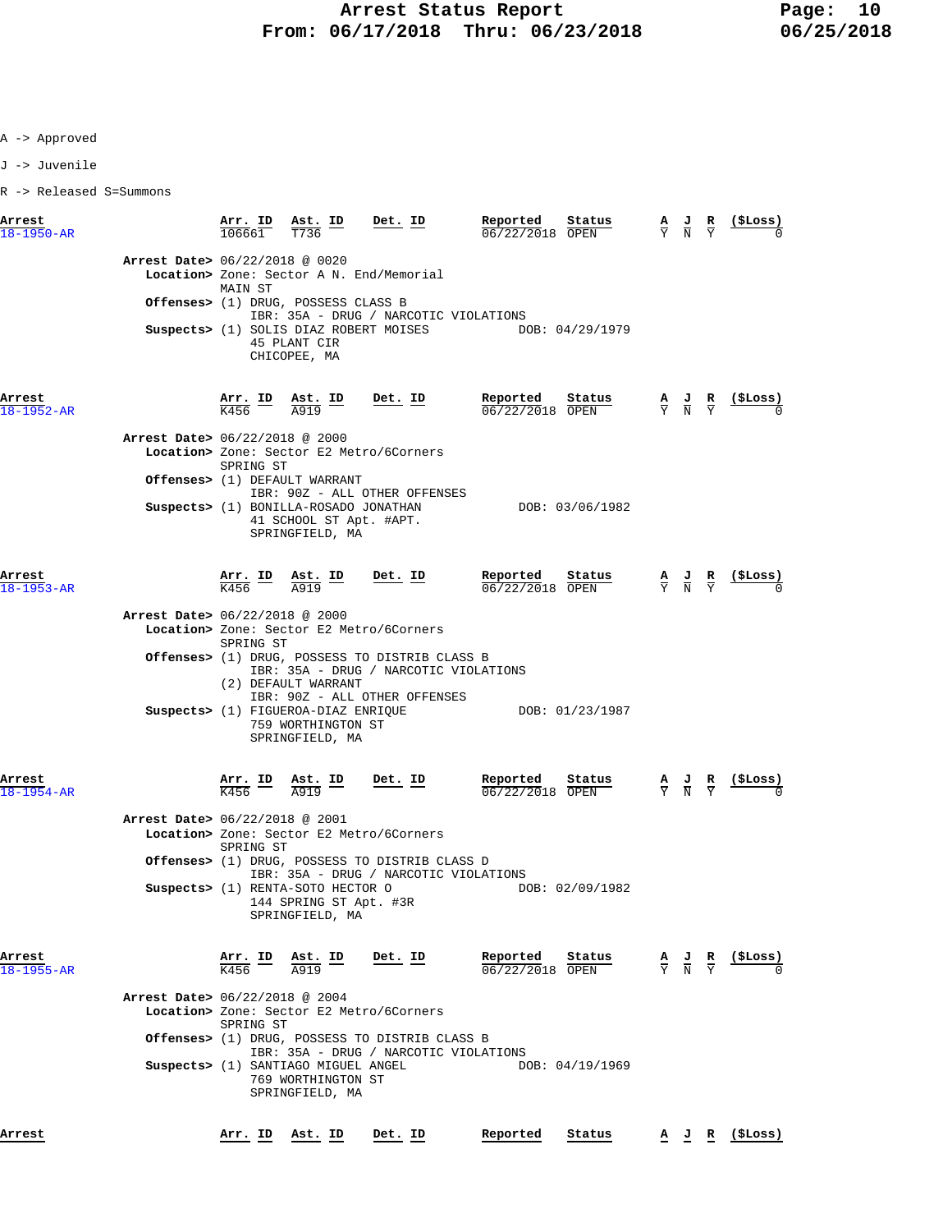A -> Approved

J -> Juvenile

R -> Released S=Summons

| Arrest<br>$18 - 1950 - AR$                                   | Arr. ID                                           | $\underline{\text{Ast.}}$ ID<br>T736                                                                                                                              | Det. ID                                                                                                                                                                                                                                 | Reported<br>06/22/2018 OPEN                 | Status                    | $\frac{\mathbf{A}}{\mathbf{Y}}$ $\frac{\mathbf{J}}{\mathbf{N}}$ $\frac{\mathbf{R}}{\mathbf{Y}}$ | $($ \$Loss)                                                   |
|--------------------------------------------------------------|---------------------------------------------------|-------------------------------------------------------------------------------------------------------------------------------------------------------------------|-----------------------------------------------------------------------------------------------------------------------------------------------------------------------------------------------------------------------------------------|---------------------------------------------|---------------------------|-------------------------------------------------------------------------------------------------|---------------------------------------------------------------|
| Arrest Date> 06/22/2018 @ 0020                               | MAIN ST                                           | Offenses> (1) DRUG, POSSESS CLASS B<br>45 PLANT CIR<br>CHICOPEE, MA                                                                                               | Location> Zone: Sector A N. End/Memorial<br>IBR: 35A - DRUG / NARCOTIC VIOLATIONS<br>Suspects> (1) SOLIS DIAZ ROBERT MOISES                                                                                                             | DOB: 04/29/1979                             |                           |                                                                                                 |                                                               |
| Arrest<br>$18 - 1952 - AR$<br>Arrest Date> 06/22/2018 @ 2000 | $\frac{\text{Arr.}}{\text{K456}}$ ID<br>SPRING ST | $\frac{\texttt{Ast.}}{\texttt{A919}}$ ID                                                                                                                          | <u>Det. ID</u><br>Location> Zone: Sector E2 Metro/6Corners                                                                                                                                                                              | Reported<br>06/22/2018 OPEN                 | Status                    | $\frac{A}{Y}$ $\frac{J}{N}$ $\frac{R}{Y}$                                                       |                                                               |
|                                                              |                                                   | Offenses> (1) DEFAULT WARRANT<br>Suspects> (1) BONILLA-ROSADO JONATHAN<br>41 SCHOOL ST Apt. #APT.<br>SPRINGFIELD, MA                                              | IBR: 90Z - ALL OTHER OFFENSES                                                                                                                                                                                                           |                                             | DOB: 03/06/1982           |                                                                                                 |                                                               |
| Arrest<br>$18 - 1953 - AR$<br>Arrest Date> 06/22/2018 @ 2000 | SPRING ST                                         | $\frac{\text{Arr.}}{\text{K456}}$ ID $\frac{\text{Ast.}}{\text{A919}}$ ID<br>(2) DEFAULT WARRANT                                                                  | <u>Det. ID</u><br>Location> Zone: Sector E2 Metro/6Corners<br><b>Offenses&gt;</b> (1) DRUG, POSSESS TO DISTRIB CLASS B<br>IBR: 35A - DRUG / NARCOTIC VIOLATIONS<br>IBR: 90Z - ALL OTHER OFFENSES<br>Suspects> (1) FIGUEROA-DIAZ ENRIQUE | Reported<br>06/22/2018 OPEN                 | Status<br>DOB: 01/23/1987 | $\frac{A}{Y}$ $\frac{J}{N}$ $\frac{R}{Y}$                                                       | $\frac{(\texttt{SLoss})}{0}$                                  |
| Arrest<br>$18 - 1954 - AR$<br>Arrest Date> 06/22/2018 @ 2001 | SPRING ST                                         | 759 WORTHINGTON ST<br>SPRINGFIELD, MA<br>$\frac{\text{Arr.}}{\text{K456}}$ ID $\frac{\text{Ast.}}{\text{A919}}$ ID Det. ID                                        | Location> Zone: Sector E2 Metro/6Corners                                                                                                                                                                                                | $\frac{\text{Reported}}{06/22/2018}$ Status | <u>Status</u>             |                                                                                                 | $\frac{A}{Y}$ $\frac{J}{N}$ $\frac{R}{Y}$ (\$Loss)            |
|                                                              |                                                   | Suspects> (1) RENTA-SOTO HECTOR O<br>144 SPRING ST Apt. #3R<br>SPRINGFIELD, MA                                                                                    | Offenses> (1) DRUG, POSSESS TO DISTRIB CLASS D<br>IBR: 35A - DRUG / NARCOTIC VIOLATIONS                                                                                                                                                 |                                             | DOB: 02/09/1982           |                                                                                                 |                                                               |
| Arrest<br>$18 - 1955 - AR$<br>Arrest Date> 06/22/2018 @ 2004 | SPRING ST                                         | $\frac{\text{Arr.}}{\text{K456}}$ ID $\frac{\text{Ast.}}{\text{A919}}$ ID Det. ID<br>Suspects> (1) SANTIAGO MIGUEL ANGEL<br>769 WORTHINGTON ST<br>SPRINGFIELD, MA | Location> Zone: Sector E2 Metro/6Corners<br><b>Offenses&gt;</b> (1) DRUG, POSSESS TO DISTRIB CLASS B<br>IBR: 35A - DRUG / NARCOTIC VIOLATIONS                                                                                           | Reported<br>$06/22/2018$ OPEN               | Status<br>DOB: 04/19/1969 |                                                                                                 | $\frac{A}{Y}$ $\frac{J}{N}$ $\frac{R}{Y}$ $\frac{($Loss)}{0}$ |
| Arrest                                                       | Arr. ID                                           | Ast. ID                                                                                                                                                           | Det. ID                                                                                                                                                                                                                                 | Reported                                    | Status                    |                                                                                                 | <u>A J R (SLoss)</u>                                          |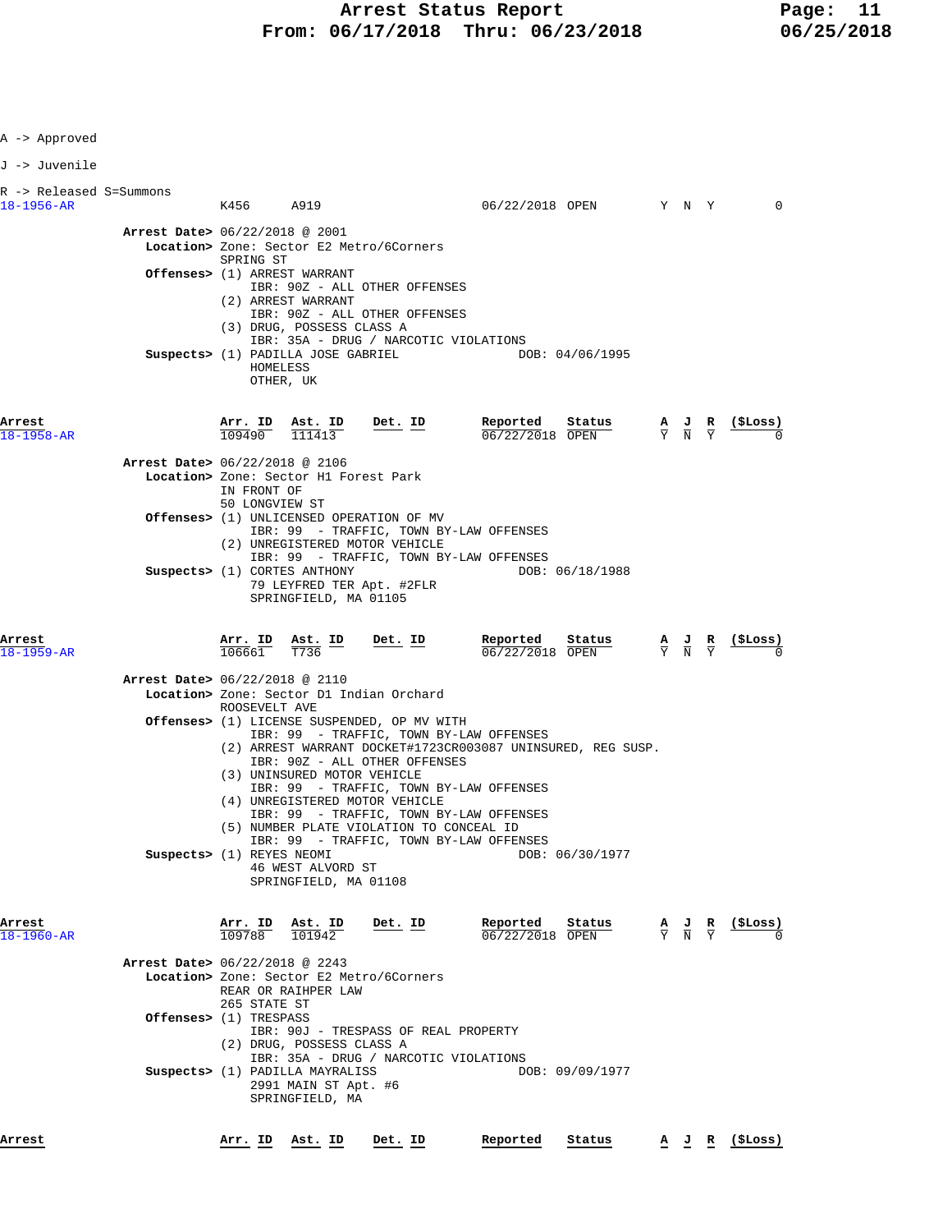| A -> Approved                         |                                                                                                                                                                                                         |                                            |                                                                                                                                                                                        |                                              |                                                                                                          |                                                                                                 |                                                    |
|---------------------------------------|---------------------------------------------------------------------------------------------------------------------------------------------------------------------------------------------------------|--------------------------------------------|----------------------------------------------------------------------------------------------------------------------------------------------------------------------------------------|----------------------------------------------|----------------------------------------------------------------------------------------------------------|-------------------------------------------------------------------------------------------------|----------------------------------------------------|
| J -> Juvenile                         |                                                                                                                                                                                                         |                                            |                                                                                                                                                                                        |                                              |                                                                                                          |                                                                                                 |                                                    |
| R -> Released S=Summons<br>18-1956-AR | K456 A919                                                                                                                                                                                               |                                            |                                                                                                                                                                                        |                                              | 06/22/2018 OPEN Y N Y                                                                                    |                                                                                                 | $\mathbf 0$                                        |
| Arrest Date> 06/22/2018 @ 2001        | Location> Zone: Sector E2 Metro/6Corners<br>SPRING ST<br>Offenses> (1) ARREST WARRANT<br>(2) ARREST WARRANT<br>(3) DRUG, POSSESS CLASS A<br>Suspects> (1) PADILLA JOSE GABRIEL<br>HOMELESS<br>OTHER, UK |                                            | IBR: 90Z - ALL OTHER OFFENSES<br>IBR: 90Z - ALL OTHER OFFENSES<br>IBR: 35A - DRUG / NARCOTIC VIOLATIONS                                                                                |                                              | DOB: 04/06/1995                                                                                          |                                                                                                 |                                                    |
| Arrest<br>$18 - 1958 - AR$            | $\frac{\texttt{Arr.}}{109490}$ $\frac{\texttt{ Ast.}}{111413}$ Det. ID                                                                                                                                  |                                            |                                                                                                                                                                                        | Reported Status<br>$\frac{06}{22/2018}$ OPEN |                                                                                                          |                                                                                                 | $\frac{A}{Y}$ $\frac{J}{N}$ $\frac{R}{Y}$ (\$Loss) |
| Arrest Date> 06/22/2018 @ 2106        | Location> Zone: Sector H1 Forest Park<br>IN FRONT OF<br>50 LONGVIEW ST                                                                                                                                  |                                            |                                                                                                                                                                                        |                                              |                                                                                                          |                                                                                                 |                                                    |
|                                       | <b>Offenses&gt;</b> (1) UNLICENSED OPERATION OF MV<br>(2) UNREGISTERED MOTOR VEHICLE                                                                                                                    |                                            | IBR: 99 - TRAFFIC, TOWN BY-LAW OFFENSES<br>IBR: 99 - TRAFFIC, TOWN BY-LAW OFFENSES                                                                                                     |                                              |                                                                                                          |                                                                                                 |                                                    |
|                                       | Suspects> (1) CORTES ANTHONY                                                                                                                                                                            | SPRINGFIELD, MA 01105                      | 79 LEYFRED TER Apt. #2FLR                                                                                                                                                              |                                              | DOB: 06/18/1988                                                                                          |                                                                                                 |                                                    |
| Arrest<br>$18 - 1959 - AR$            |                                                                                                                                                                                                         |                                            | $\frac{\texttt{Arr. ID}}{106661}$ $\frac{\texttt{ Ast. ID}}{T736}$ $\frac{\texttt{Det. ID}}{T736}$                                                                                     | Reported<br>$06/22/2018$ OPEN                | $\frac{\text{Status}}{\text{OPEN}}$ $\frac{A}{Y}$ $\frac{J}{N}$ $\frac{R}{Y}$ $\frac{(\text{$Loss})}{0}$ |                                                                                                 |                                                    |
| Arrest Date> 06/22/2018 @ 2110        | Location> Zone: Sector D1 Indian Orchard<br>ROOSEVELT AVE                                                                                                                                               |                                            |                                                                                                                                                                                        |                                              |                                                                                                          |                                                                                                 |                                                    |
|                                       | (3) UNINSURED MOTOR VEHICLE                                                                                                                                                                             |                                            | Offenses> (1) LICENSE SUSPENDED, OP MV WITH<br>IBR: 99 - TRAFFIC, TOWN BY-LAW OFFENSES<br>(2) ARREST WARRANT DOCKET#1723CR003087 UNINSURED, REG SUSP.<br>IBR: 90Z - ALL OTHER OFFENSES |                                              |                                                                                                          |                                                                                                 |                                                    |
|                                       | (4) UNREGISTERED MOTOR VEHICLE                                                                                                                                                                          |                                            | IBR: 99 - TRAFFIC, TOWN BY-LAW OFFENSES<br>IBR: 99 - TRAFFIC, TOWN BY-LAW OFFENSES<br>(5) NUMBER PLATE VIOLATION TO CONCEAL ID<br>IBR: 99 - TRAFFIC, TOWN BY-LAW OFFENSES              |                                              |                                                                                                          |                                                                                                 |                                                    |
|                                       | Suspects> (1) REYES NEOMI                                                                                                                                                                               | 46 WEST ALVORD ST<br>SPRINGFIELD, MA 01108 |                                                                                                                                                                                        |                                              | DOB: 06/30/1977                                                                                          |                                                                                                 |                                                    |
| Arrest<br>18-1960-AR                  | Arr. ID<br>109788                                                                                                                                                                                       | Ast. ID<br>101942                          | <u>Det. ID</u>                                                                                                                                                                         | Reported<br>06/22/2018 OPEN                  | Status                                                                                                   | $\frac{\mathbf{A}}{\mathbf{Y}}$ $\frac{\mathbf{J}}{\mathbf{N}}$ $\frac{\mathbf{R}}{\mathbf{Y}}$ | (SLoss)                                            |
| Arrest Date> 06/22/2018 @ 2243        | Location> Zone: Sector E2 Metro/6Corners<br>REAR OR RAIHPER LAW<br>265 STATE ST                                                                                                                         |                                            |                                                                                                                                                                                        |                                              |                                                                                                          |                                                                                                 |                                                    |
|                                       | Offenses> (1) TRESPASS<br>(2) DRUG, POSSESS CLASS A                                                                                                                                                     |                                            | IBR: 90J - TRESPASS OF REAL PROPERTY<br>IBR: 35A - DRUG / NARCOTIC VIOLATIONS                                                                                                          |                                              |                                                                                                          |                                                                                                 |                                                    |
|                                       | Suspects> (1) PADILLA MAYRALISS                                                                                                                                                                         | 2991 MAIN ST Apt. #6<br>SPRINGFIELD, MA    |                                                                                                                                                                                        |                                              | DOB: 09/09/1977                                                                                          |                                                                                                 |                                                    |
|                                       |                                                                                                                                                                                                         |                                            |                                                                                                                                                                                        |                                              |                                                                                                          |                                                                                                 |                                                    |

**Arrest Arr. ID Ast. ID Det. ID Reported Status A J R (\$Loss)**